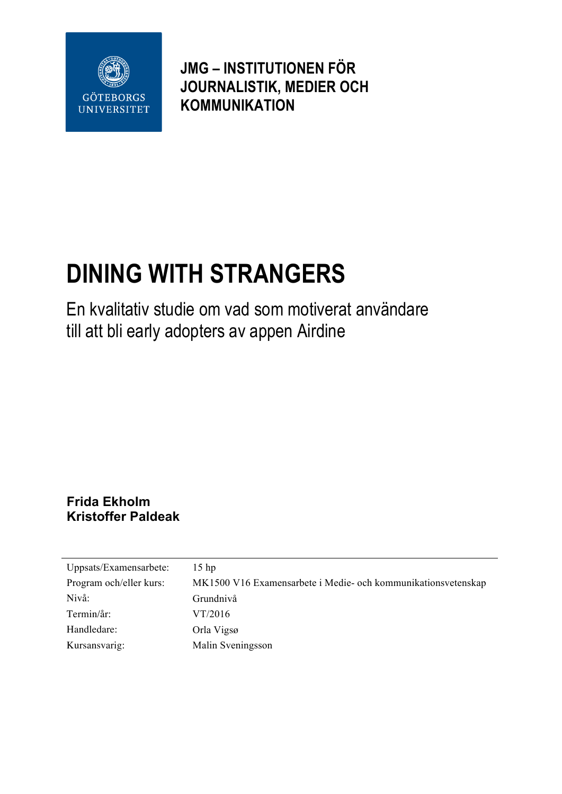

**JMG – INSTITUTIONEN FÖR JOURNALISTIK, MEDIER OCH KOMMUNIKATION**

# **DINING WITH STRANGERS**

En kvalitativ studie om vad som motiverat användare till att bli early adopters av appen Airdine

### **Frida Ekholm Kristoffer Paldeak**

| Uppsats/Examensarbete:  | $15$ hp                                                       |
|-------------------------|---------------------------------------------------------------|
| Program och/eller kurs: | MK1500 V16 Examensarbete i Medie- och kommunikationsvetenskap |
| Nivå:                   | Grundnivå                                                     |
| Termin/år:              | VT/2016                                                       |
| Handledare:             | Orla Vigsø                                                    |
| Kursansvarig:           | Malin Sveningsson                                             |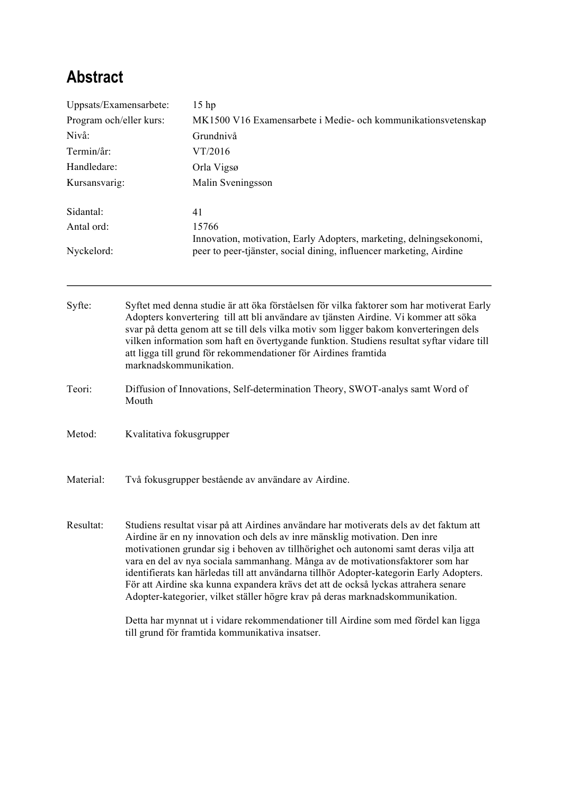# **Abstract**

| Uppsats/Examensarbete:<br>Program och/eller kurs:<br>Nivå:<br>Termin/år:<br>Handledare:<br>Kursansvarig: |                                                                                                                                                                                        | 15 <sub>hp</sub><br>MK1500 V16 Examensarbete i Medie- och kommunikationsvetenskap                                                                                                                                                                                                                                                                                                                                                                                                                                                                                                                                  |  |                                                                                                                                            |  |       |
|----------------------------------------------------------------------------------------------------------|----------------------------------------------------------------------------------------------------------------------------------------------------------------------------------------|--------------------------------------------------------------------------------------------------------------------------------------------------------------------------------------------------------------------------------------------------------------------------------------------------------------------------------------------------------------------------------------------------------------------------------------------------------------------------------------------------------------------------------------------------------------------------------------------------------------------|--|--------------------------------------------------------------------------------------------------------------------------------------------|--|-------|
|                                                                                                          |                                                                                                                                                                                        |                                                                                                                                                                                                                                                                                                                                                                                                                                                                                                                                                                                                                    |  | Grundnivå                                                                                                                                  |  |       |
|                                                                                                          |                                                                                                                                                                                        | VT/2016<br>Orla Vigsø<br>Malin Sveningsson                                                                                                                                                                                                                                                                                                                                                                                                                                                                                                                                                                         |  |                                                                                                                                            |  |       |
|                                                                                                          |                                                                                                                                                                                        |                                                                                                                                                                                                                                                                                                                                                                                                                                                                                                                                                                                                                    |  | Sidantal:                                                                                                                                  |  | 41    |
|                                                                                                          |                                                                                                                                                                                        |                                                                                                                                                                                                                                                                                                                                                                                                                                                                                                                                                                                                                    |  | Antal ord:                                                                                                                                 |  | 15766 |
|                                                                                                          |                                                                                                                                                                                        | Nyckelord:                                                                                                                                                                                                                                                                                                                                                                                                                                                                                                                                                                                                         |  | Innovation, motivation, Early Adopters, marketing, delningsekonomi,<br>peer to peer-tjänster, social dining, influencer marketing, Airdine |  |       |
| Syfte:                                                                                                   |                                                                                                                                                                                        | Syftet med denna studie är att öka förståelsen för vilka faktorer som har motiverat Early<br>Adopters konvertering till att bli användare av tjänsten Airdine. Vi kommer att söka<br>svar på detta genom att se till dels vilka motiv som ligger bakom konverteringen dels                                                                                                                                                                                                                                                                                                                                         |  |                                                                                                                                            |  |       |
|                                                                                                          | vilken information som haft en övertygande funktion. Studiens resultat syftar vidare till<br>att ligga till grund för rekommendationer för Airdines framtida<br>marknadskommunikation. |                                                                                                                                                                                                                                                                                                                                                                                                                                                                                                                                                                                                                    |  |                                                                                                                                            |  |       |
| Teori:                                                                                                   | Mouth                                                                                                                                                                                  | Diffusion of Innovations, Self-determination Theory, SWOT-analys samt Word of                                                                                                                                                                                                                                                                                                                                                                                                                                                                                                                                      |  |                                                                                                                                            |  |       |
| Metod:                                                                                                   | Kvalitativa fokusgrupper                                                                                                                                                               |                                                                                                                                                                                                                                                                                                                                                                                                                                                                                                                                                                                                                    |  |                                                                                                                                            |  |       |
| Material:                                                                                                | Två fokusgrupper bestående av användare av Airdine.                                                                                                                                    |                                                                                                                                                                                                                                                                                                                                                                                                                                                                                                                                                                                                                    |  |                                                                                                                                            |  |       |
| Resultat:                                                                                                |                                                                                                                                                                                        | Studiens resultat visar på att Airdines användare har motiverats dels av det faktum att<br>Airdine är en ny innovation och dels av inre mänsklig motivation. Den inre<br>motivationen grundar sig i behoven av tillhörighet och autonomi samt deras vilja att<br>vara en del av nya sociala sammanhang. Många av de motivationsfaktorer som har<br>identifierats kan härledas till att användarna tillhör Adopter-kategorin Early Adopters.<br>För att Airdine ska kunna expandera krävs det att de också lyckas attrahera senare<br>Adopter-kategorier, vilket ställer högre krav på deras marknadskommunikation. |  |                                                                                                                                            |  |       |
|                                                                                                          |                                                                                                                                                                                        | Detta har mynnat ut i vidare rekommendationer till Airdine som med fördel kan ligga<br>till grund för framtida kommunikativa insatser.                                                                                                                                                                                                                                                                                                                                                                                                                                                                             |  |                                                                                                                                            |  |       |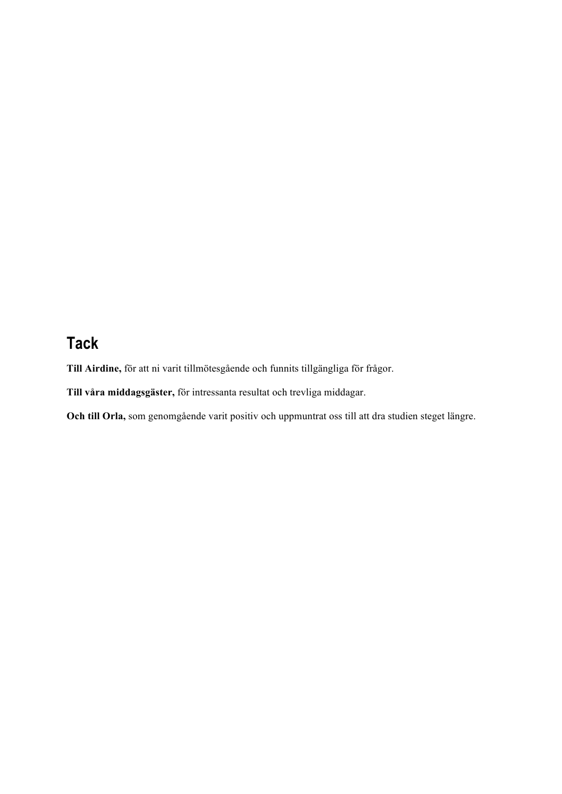# **Tack**

**Till Airdine,** för att ni varit tillmötesgående och funnits tillgängliga för frågor.

**Till våra middagsgäster,** för intressanta resultat och trevliga middagar.

**Och till Orla,** som genomgående varit positiv och uppmuntrat oss till att dra studien steget längre.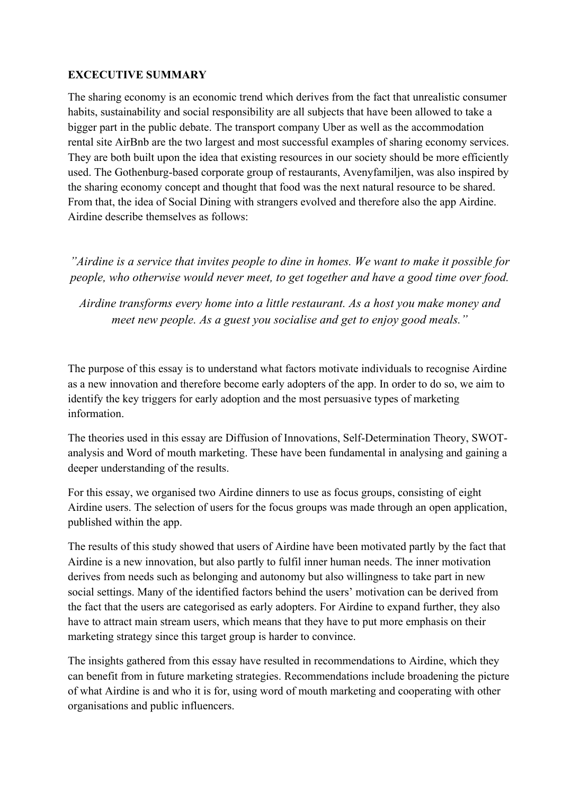### **EXCECUTIVE SUMMARY**

The sharing economy is an economic trend which derives from the fact that unrealistic consumer habits, sustainability and social responsibility are all subjects that have been allowed to take a bigger part in the public debate. The transport company Uber as well as the accommodation rental site AirBnb are the two largest and most successful examples of sharing economy services. They are both built upon the idea that existing resources in our society should be more efficiently used. The Gothenburg-based corporate group of restaurants, Avenyfamiljen, was also inspired by the sharing economy concept and thought that food was the next natural resource to be shared. From that, the idea of Social Dining with strangers evolved and therefore also the app Airdine. Airdine describe themselves as follows:

*"Airdine is a service that invites people to dine in homes. We want to make it possible for people, who otherwise would never meet, to get together and have a good time over food.*

*Airdine transforms every home into a little restaurant. As a host you make money and meet new people. As a guest you socialise and get to enjoy good meals."*

The purpose of this essay is to understand what factors motivate individuals to recognise Airdine as a new innovation and therefore become early adopters of the app. In order to do so, we aim to identify the key triggers for early adoption and the most persuasive types of marketing information.

The theories used in this essay are Diffusion of Innovations, Self-Determination Theory, SWOTanalysis and Word of mouth marketing. These have been fundamental in analysing and gaining a deeper understanding of the results.

For this essay, we organised two Airdine dinners to use as focus groups, consisting of eight Airdine users. The selection of users for the focus groups was made through an open application, published within the app.

The results of this study showed that users of Airdine have been motivated partly by the fact that Airdine is a new innovation, but also partly to fulfil inner human needs. The inner motivation derives from needs such as belonging and autonomy but also willingness to take part in new social settings. Many of the identified factors behind the users' motivation can be derived from the fact that the users are categorised as early adopters. For Airdine to expand further, they also have to attract main stream users, which means that they have to put more emphasis on their marketing strategy since this target group is harder to convince.

The insights gathered from this essay have resulted in recommendations to Airdine, which they can benefit from in future marketing strategies. Recommendations include broadening the picture of what Airdine is and who it is for, using word of mouth marketing and cooperating with other organisations and public influencers.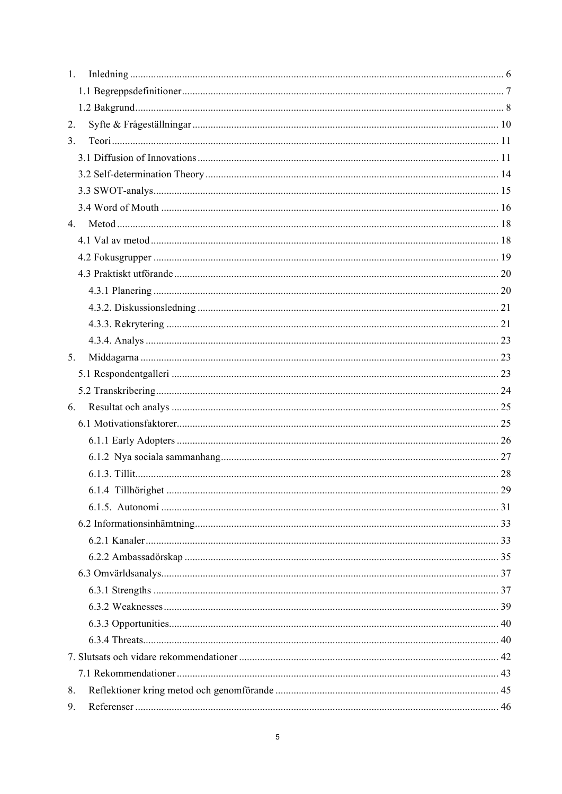| $1_{\cdot}$ |  |
|-------------|--|
|             |  |
|             |  |
| 2.          |  |
| 3.          |  |
|             |  |
|             |  |
|             |  |
|             |  |
| 4.          |  |
|             |  |
|             |  |
|             |  |
|             |  |
|             |  |
|             |  |
|             |  |
| 5.          |  |
|             |  |
|             |  |
| 6.          |  |
|             |  |
|             |  |
|             |  |
|             |  |
|             |  |
|             |  |
|             |  |
|             |  |
|             |  |
|             |  |
|             |  |
|             |  |
|             |  |
|             |  |
|             |  |
|             |  |
| 8.          |  |
| 9.          |  |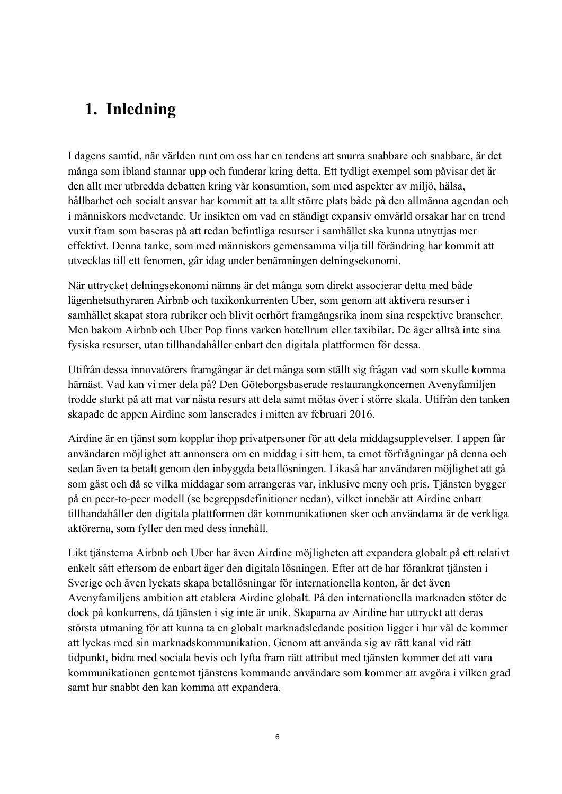## **1. Inledning**

I dagens samtid, när världen runt om oss har en tendens att snurra snabbare och snabbare, är det många som ibland stannar upp och funderar kring detta. Ett tydligt exempel som påvisar det är den allt mer utbredda debatten kring vår konsumtion, som med aspekter av miljö, hälsa, hållbarhet och socialt ansvar har kommit att ta allt större plats både på den allmänna agendan och i människors medvetande. Ur insikten om vad en ständigt expansiv omvärld orsakar har en trend vuxit fram som baseras på att redan befintliga resurser i samhället ska kunna utnyttjas mer effektivt. Denna tanke, som med människors gemensamma vilja till förändring har kommit att utvecklas till ett fenomen, går idag under benämningen delningsekonomi.

När uttrycket delningsekonomi nämns är det många som direkt associerar detta med både lägenhetsuthyraren Airbnb och taxikonkurrenten Uber, som genom att aktivera resurser i samhället skapat stora rubriker och blivit oerhört framgångsrika inom sina respektive branscher. Men bakom Airbnb och Uber Pop finns varken hotellrum eller taxibilar. De äger alltså inte sina fysiska resurser, utan tillhandahåller enbart den digitala plattformen för dessa.

Utifrån dessa innovatörers framgångar är det många som ställt sig frågan vad som skulle komma härnäst. Vad kan vi mer dela på? Den Göteborgsbaserade restaurangkoncernen Avenyfamiljen trodde starkt på att mat var nästa resurs att dela samt mötas över i större skala. Utifrån den tanken skapade de appen Airdine som lanserades i mitten av februari 2016.

Airdine är en tjänst som kopplar ihop privatpersoner för att dela middagsupplevelser. I appen får användaren möjlighet att annonsera om en middag i sitt hem, ta emot förfrågningar på denna och sedan även ta betalt genom den inbyggda betallösningen. Likaså har användaren möjlighet att gå som gäst och då se vilka middagar som arrangeras var, inklusive meny och pris. Tjänsten bygger på en peer-to-peer modell (se begreppsdefinitioner nedan), vilket innebär att Airdine enbart tillhandahåller den digitala plattformen där kommunikationen sker och användarna är de verkliga aktörerna, som fyller den med dess innehåll.

Likt tjänsterna Airbnb och Uber har även Airdine möjligheten att expandera globalt på ett relativt enkelt sätt eftersom de enbart äger den digitala lösningen. Efter att de har förankrat tjänsten i Sverige och även lyckats skapa betallösningar för internationella konton, är det även Avenyfamiljens ambition att etablera Airdine globalt. På den internationella marknaden stöter de dock på konkurrens, då tjänsten i sig inte är unik. Skaparna av Airdine har uttryckt att deras största utmaning för att kunna ta en globalt marknadsledande position ligger i hur väl de kommer att lyckas med sin marknadskommunikation. Genom att använda sig av rätt kanal vid rätt tidpunkt, bidra med sociala bevis och lyfta fram rätt attribut med tjänsten kommer det att vara kommunikationen gentemot tjänstens kommande användare som kommer att avgöra i vilken grad samt hur snabbt den kan komma att expandera.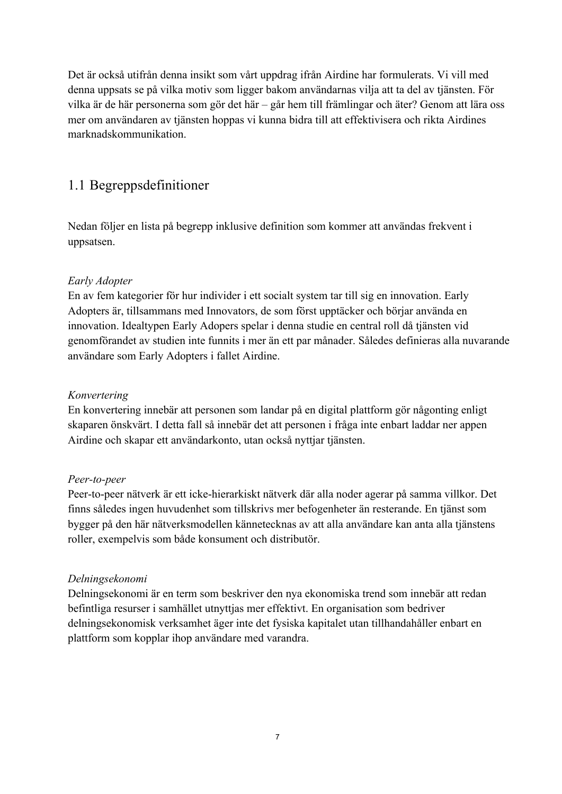Det är också utifrån denna insikt som vårt uppdrag ifrån Airdine har formulerats. Vi vill med denna uppsats se på vilka motiv som ligger bakom användarnas vilja att ta del av tjänsten. För vilka är de här personerna som gör det här – går hem till främlingar och äter? Genom att lära oss mer om användaren av tjänsten hoppas vi kunna bidra till att effektivisera och rikta Airdines marknadskommunikation.

### 1.1 Begreppsdefinitioner

Nedan följer en lista på begrepp inklusive definition som kommer att användas frekvent i uppsatsen.

### *Early Adopter*

En av fem kategorier för hur individer i ett socialt system tar till sig en innovation. Early Adopters är, tillsammans med Innovators, de som först upptäcker och börjar använda en innovation. Idealtypen Early Adopers spelar i denna studie en central roll då tjänsten vid genomförandet av studien inte funnits i mer än ett par månader. Således definieras alla nuvarande användare som Early Adopters i fallet Airdine.

### *Konvertering*

En konvertering innebär att personen som landar på en digital plattform gör någonting enligt skaparen önskvärt. I detta fall så innebär det att personen i fråga inte enbart laddar ner appen Airdine och skapar ett användarkonto, utan också nyttjar tjänsten.

### *Peer-to-peer*

Peer-to-peer nätverk är ett icke-hierarkiskt nätverk där alla noder agerar på samma villkor. Det finns således ingen huvudenhet som tillskrivs mer befogenheter än resterande. En tjänst som bygger på den här nätverksmodellen kännetecknas av att alla användare kan anta alla tjänstens roller, exempelvis som både konsument och distributör.

### *Delningsekonomi*

Delningsekonomi är en term som beskriver den nya ekonomiska trend som innebär att redan befintliga resurser i samhället utnyttjas mer effektivt. En organisation som bedriver delningsekonomisk verksamhet äger inte det fysiska kapitalet utan tillhandahåller enbart en plattform som kopplar ihop användare med varandra.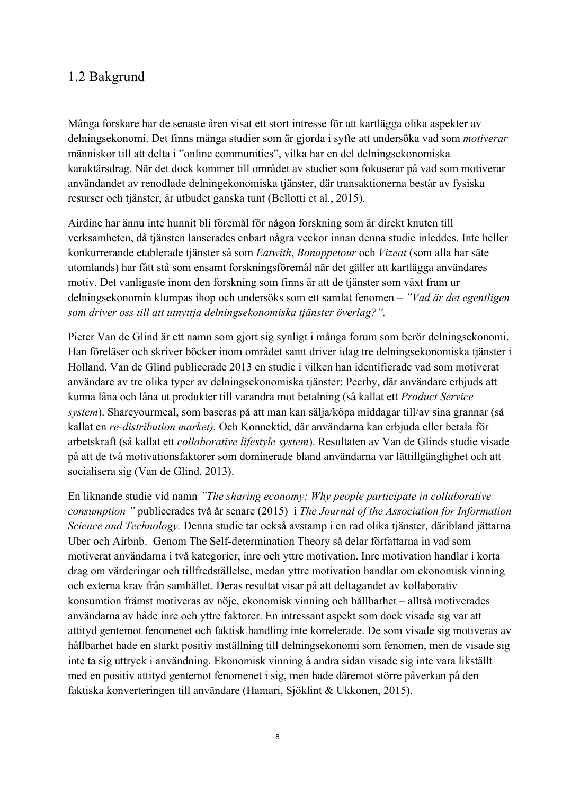### 1.2 Bakgrund

Många forskare har de senaste åren visat ett stort intresse för att kartlägga olika aspekter av delningsekonomi. Det finns många studier som är gjorda i syfte att undersöka vad som *motiverar* människor till att delta i "online communities", vilka har en del delningsekonomiska karaktärsdrag. När det dock kommer till området av studier som fokuserar på vad som motiverar användandet av renodlade delningekonomiska tjänster, där transaktionerna består av fysiska resurser och tjänster, är utbudet ganska tunt (Bellotti et al., 2015).

Airdine har ännu inte hunnit bli föremål för någon forskning som är direkt knuten till verksamheten, då tjänsten lanserades enbart några veckor innan denna studie inleddes. Inte heller konkurrerande etablerade tjänster så som *Eatwith*, *Bonappetour* och *Vizeat* (som alla har säte utomlands) har fått stå som ensamt forskningsföremål när det gäller att kartlägga användares motiv. Det vanligaste inom den forskning som finns är att de tjänster som växt fram ur delningsekonomin klumpas ihop och undersöks som ett samlat fenomen – *"Vad är det egentligen som driver oss till att utnyttja delningsekonomiska tjänster överlag?".*

Pieter Van de Glind är ett namn som gjort sig synligt i många forum som berör delningsekonomi. Han föreläser och skriver böcker inom området samt driver idag tre delningsekonomiska tjänster i Holland. Van de Glind publicerade 2013 en studie i vilken han identifierade vad som motiverat användare av tre olika typer av delningsekonomiska tjänster: Peerby, där användare erbjuds att kunna låna och låna ut produkter till varandra mot betalning (så kallat ett *Product Service system*). Shareyourmeal, som baseras på att man kan sälja/köpa middagar till/av sina grannar (så kallat en *re-distribution market).* Och Konnektid, där användarna kan erbjuda eller betala för arbetskraft (så kallat ett *collaborative lifestyle system*). Resultaten av Van de Glinds studie visade på att de två motivationsfaktorer som dominerade bland användarna var lättillgänglighet och att socialisera sig (Van de Glind, 2013).

En liknande studie vid namn *"The sharing economy: Why people participate in collaborative consumption "* publicerades två år senare (2015) i *The Journal of the Association for Information Science and Technology.* Denna studie tar också avstamp i en rad olika tjänster, däribland jättarna Uber och Airbnb. Genom The Self-determination Theory så delar författarna in vad som motiverat användarna i två kategorier, inre och yttre motivation. Inre motivation handlar i korta drag om värderingar och tillfredställelse, medan yttre motivation handlar om ekonomisk vinning och externa krav från samhället. Deras resultat visar på att deltagandet av kollaborativ konsumtion främst motiveras av nöje, ekonomisk vinning och hållbarhet – alltså motiverades användarna av både inre och yttre faktorer. En intressant aspekt som dock visade sig var att attityd gentemot fenomenet och faktisk handling inte korrelerade. De som visade sig motiveras av hållbarhet hade en starkt positiv inställning till delningsekonomi som fenomen, men de visade sig inte ta sig uttryck i användning. Ekonomisk vinning å andra sidan visade sig inte vara likställt med en positiv attityd gentemot fenomenet i sig, men hade däremot större påverkan på den faktiska konverteringen till användare (Hamari, Sjöklint & Ukkonen, 2015).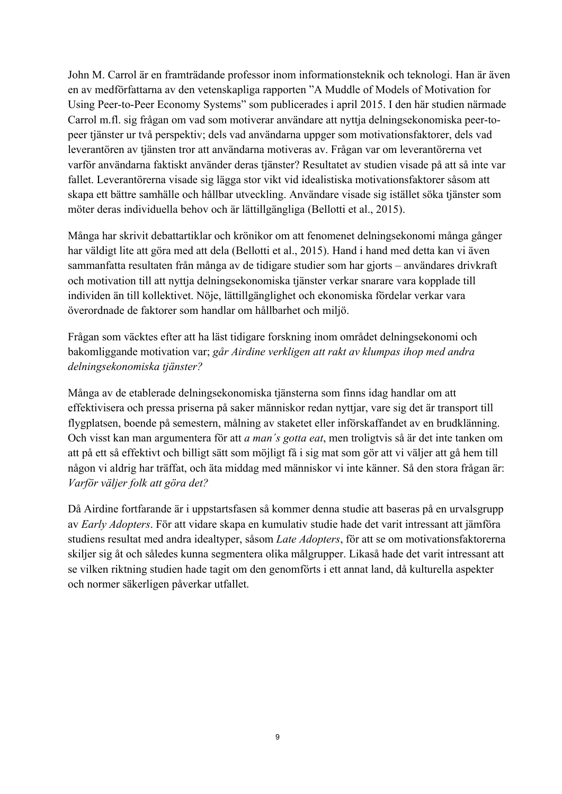John M. Carrol är en framträdande professor inom informationsteknik och teknologi. Han är även en av medförfattarna av den vetenskapliga rapporten "A Muddle of Models of Motivation for Using Peer-to-Peer Economy Systems" som publicerades i april 2015. I den här studien närmade Carrol m.fl. sig frågan om vad som motiverar användare att nyttja delningsekonomiska peer-topeer tjänster ur två perspektiv; dels vad användarna uppger som motivationsfaktorer, dels vad leverantören av tjänsten tror att användarna motiveras av. Frågan var om leverantörerna vet varför användarna faktiskt använder deras tjänster? Resultatet av studien visade på att så inte var fallet. Leverantörerna visade sig lägga stor vikt vid idealistiska motivationsfaktorer såsom att skapa ett bättre samhälle och hållbar utveckling. Användare visade sig istället söka tjänster som möter deras individuella behov och är lättillgängliga (Bellotti et al., 2015).

Många har skrivit debattartiklar och krönikor om att fenomenet delningsekonomi många gånger har väldigt lite att göra med att dela (Bellotti et al., 2015). Hand i hand med detta kan vi även sammanfatta resultaten från många av de tidigare studier som har gjorts – användares drivkraft och motivation till att nyttja delningsekonomiska tjänster verkar snarare vara kopplade till individen än till kollektivet. Nöje, lättillgänglighet och ekonomiska fördelar verkar vara överordnade de faktorer som handlar om hållbarhet och miljö.

Frågan som väcktes efter att ha läst tidigare forskning inom området delningsekonomi och bakomliggande motivation var; *går Airdine verkligen att rakt av klumpas ihop med andra delningsekonomiska tjänster?*

Många av de etablerade delningsekonomiska tjänsterna som finns idag handlar om att effektivisera och pressa priserna på saker människor redan nyttjar, vare sig det är transport till flygplatsen, boende på semestern, målning av staketet eller införskaffandet av en brudklänning. Och visst kan man argumentera för att *a man´s gotta eat*, men troligtvis så är det inte tanken om att på ett så effektivt och billigt sätt som möjligt få i sig mat som gör att vi väljer att gå hem till någon vi aldrig har träffat, och äta middag med människor vi inte känner. Så den stora frågan är: *Varför väljer folk att göra det?*

Då Airdine fortfarande är i uppstartsfasen så kommer denna studie att baseras på en urvalsgrupp av *Early Adopters*. För att vidare skapa en kumulativ studie hade det varit intressant att jämföra studiens resultat med andra idealtyper, såsom *Late Adopters*, för att se om motivationsfaktorerna skiljer sig åt och således kunna segmentera olika målgrupper. Likaså hade det varit intressant att se vilken riktning studien hade tagit om den genomförts i ett annat land, då kulturella aspekter och normer säkerligen påverkar utfallet.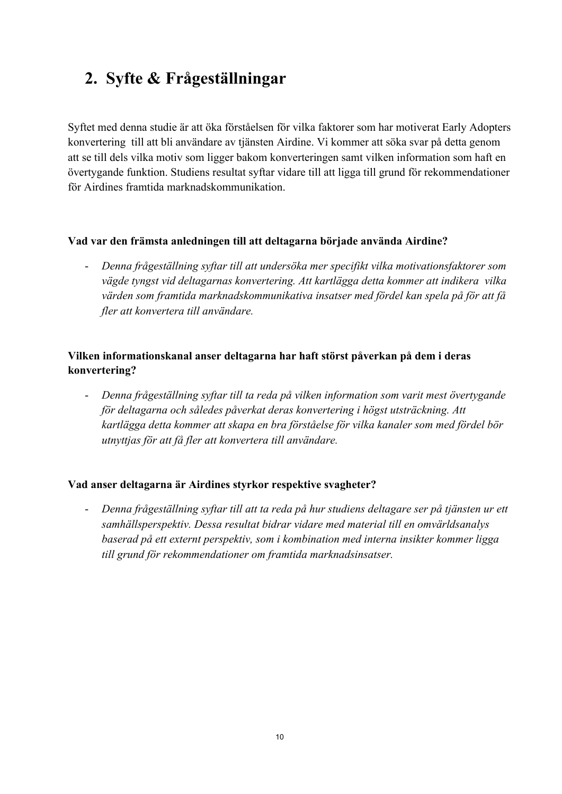# **2. Syfte & Frågeställningar**

Syftet med denna studie är att öka förståelsen för vilka faktorer som har motiverat Early Adopters konvertering till att bli användare av tjänsten Airdine. Vi kommer att söka svar på detta genom att se till dels vilka motiv som ligger bakom konverteringen samt vilken information som haft en övertygande funktion. Studiens resultat syftar vidare till att ligga till grund för rekommendationer för Airdines framtida marknadskommunikation.

### **Vad var den främsta anledningen till att deltagarna började använda Airdine?**

- *Denna frågeställning syftar till att undersöka mer specifikt vilka motivationsfaktorer som vägde tyngst vid deltagarnas konvertering. Att kartlägga detta kommer att indikera vilka värden som framtida marknadskommunikativa insatser med fördel kan spela på för att få fler att konvertera till användare.* 

### **Vilken informationskanal anser deltagarna har haft störst påverkan på dem i deras konvertering?**

- *Denna frågeställning syftar till ta reda på vilken information som varit mest övertygande för deltagarna och således påverkat deras konvertering i högst utsträckning. Att kartlägga detta kommer att skapa en bra förståelse för vilka kanaler som med fördel bör utnyttjas för att få fler att konvertera till användare.* 

### **Vad anser deltagarna är Airdines styrkor respektive svagheter?**

- *Denna frågeställning syftar till att ta reda på hur studiens deltagare ser på tjänsten ur ett samhällsperspektiv. Dessa resultat bidrar vidare med material till en omvärldsanalys baserad på ett externt perspektiv, som i kombination med interna insikter kommer ligga till grund för rekommendationer om framtida marknadsinsatser.*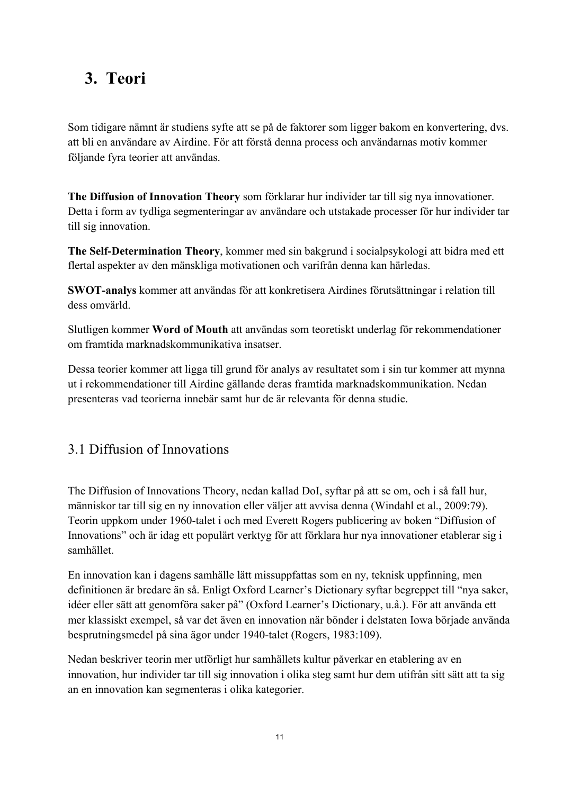# **3. Teori**

Som tidigare nämnt är studiens syfte att se på de faktorer som ligger bakom en konvertering, dvs. att bli en användare av Airdine. För att förstå denna process och användarnas motiv kommer följande fyra teorier att användas.

**The Diffusion of Innovation Theory** som förklarar hur individer tar till sig nya innovationer. Detta i form av tydliga segmenteringar av användare och utstakade processer för hur individer tar till sig innovation.

**The Self-Determination Theory**, kommer med sin bakgrund i socialpsykologi att bidra med ett flertal aspekter av den mänskliga motivationen och varifrån denna kan härledas.

**SWOT-analys** kommer att användas för att konkretisera Airdines förutsättningar i relation till dess omvärld.

Slutligen kommer **Word of Mouth** att användas som teoretiskt underlag för rekommendationer om framtida marknadskommunikativa insatser.

Dessa teorier kommer att ligga till grund för analys av resultatet som i sin tur kommer att mynna ut i rekommendationer till Airdine gällande deras framtida marknadskommunikation. Nedan presenteras vad teorierna innebär samt hur de är relevanta för denna studie.

### 3.1 Diffusion of Innovations

The Diffusion of Innovations Theory, nedan kallad DoI, syftar på att se om, och i så fall hur, människor tar till sig en ny innovation eller väljer att avvisa denna (Windahl et al., 2009:79). Teorin uppkom under 1960-talet i och med Everett Rogers publicering av boken "Diffusion of Innovations" och är idag ett populärt verktyg för att förklara hur nya innovationer etablerar sig i samhället.

En innovation kan i dagens samhälle lätt missuppfattas som en ny, teknisk uppfinning, men definitionen är bredare än så. Enligt Oxford Learner's Dictionary syftar begreppet till "nya saker, idéer eller sätt att genomföra saker på" (Oxford Learner's Dictionary, u.å.). För att använda ett mer klassiskt exempel, så var det även en innovation när bönder i delstaten Iowa började använda besprutningsmedel på sina ägor under 1940-talet (Rogers, 1983:109).

Nedan beskriver teorin mer utförligt hur samhällets kultur påverkar en etablering av en innovation, hur individer tar till sig innovation i olika steg samt hur dem utifrån sitt sätt att ta sig an en innovation kan segmenteras i olika kategorier.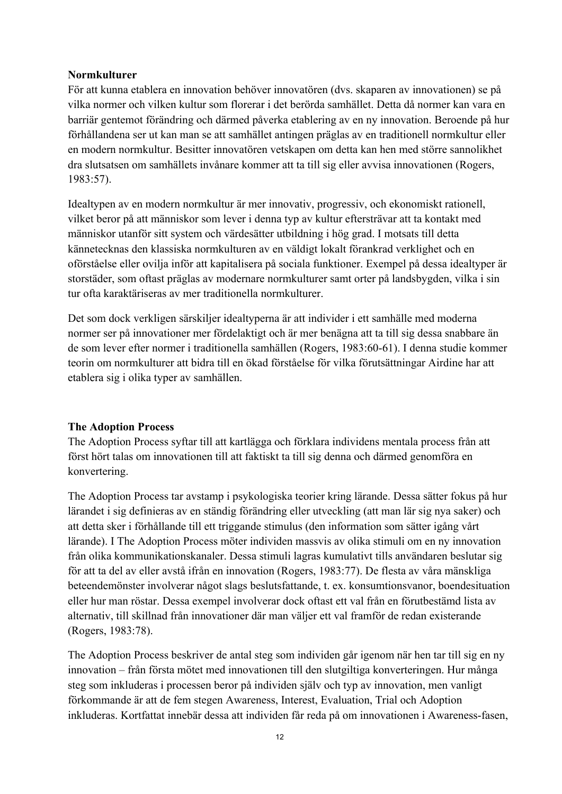### **Normkulturer**

För att kunna etablera en innovation behöver innovatören (dvs. skaparen av innovationen) se på vilka normer och vilken kultur som florerar i det berörda samhället. Detta då normer kan vara en barriär gentemot förändring och därmed påverka etablering av en ny innovation. Beroende på hur förhållandena ser ut kan man se att samhället antingen präglas av en traditionell normkultur eller en modern normkultur. Besitter innovatören vetskapen om detta kan hen med större sannolikhet dra slutsatsen om samhällets invånare kommer att ta till sig eller avvisa innovationen (Rogers, 1983:57).

Idealtypen av en modern normkultur är mer innovativ, progressiv, och ekonomiskt rationell, vilket beror på att människor som lever i denna typ av kultur eftersträvar att ta kontakt med människor utanför sitt system och värdesätter utbildning i hög grad. I motsats till detta kännetecknas den klassiska normkulturen av en väldigt lokalt förankrad verklighet och en oförståelse eller ovilja inför att kapitalisera på sociala funktioner. Exempel på dessa idealtyper är storstäder, som oftast präglas av modernare normkulturer samt orter på landsbygden, vilka i sin tur ofta karaktäriseras av mer traditionella normkulturer.

Det som dock verkligen särskiljer idealtyperna är att individer i ett samhälle med moderna normer ser på innovationer mer fördelaktigt och är mer benägna att ta till sig dessa snabbare än de som lever efter normer i traditionella samhällen (Rogers, 1983:60-61). I denna studie kommer teorin om normkulturer att bidra till en ökad förståelse för vilka förutsättningar Airdine har att etablera sig i olika typer av samhällen.

### **The Adoption Process**

The Adoption Process syftar till att kartlägga och förklara individens mentala process från att först hört talas om innovationen till att faktiskt ta till sig denna och därmed genomföra en konvertering.

The Adoption Process tar avstamp i psykologiska teorier kring lärande. Dessa sätter fokus på hur lärandet i sig definieras av en ständig förändring eller utveckling (att man lär sig nya saker) och att detta sker i förhållande till ett triggande stimulus (den information som sätter igång vårt lärande). I The Adoption Process möter individen massvis av olika stimuli om en ny innovation från olika kommunikationskanaler. Dessa stimuli lagras kumulativt tills användaren beslutar sig för att ta del av eller avstå ifrån en innovation (Rogers, 1983:77). De flesta av våra mänskliga beteendemönster involverar något slags beslutsfattande, t. ex. konsumtionsvanor, boendesituation eller hur man röstar. Dessa exempel involverar dock oftast ett val från en förutbestämd lista av alternativ, till skillnad från innovationer där man väljer ett val framför de redan existerande (Rogers, 1983:78).

The Adoption Process beskriver de antal steg som individen går igenom när hen tar till sig en ny innovation – från första mötet med innovationen till den slutgiltiga konverteringen. Hur många steg som inkluderas i processen beror på individen själv och typ av innovation, men vanligt förkommande är att de fem stegen Awareness, Interest, Evaluation, Trial och Adoption inkluderas. Kortfattat innebär dessa att individen får reda på om innovationen i Awareness-fasen,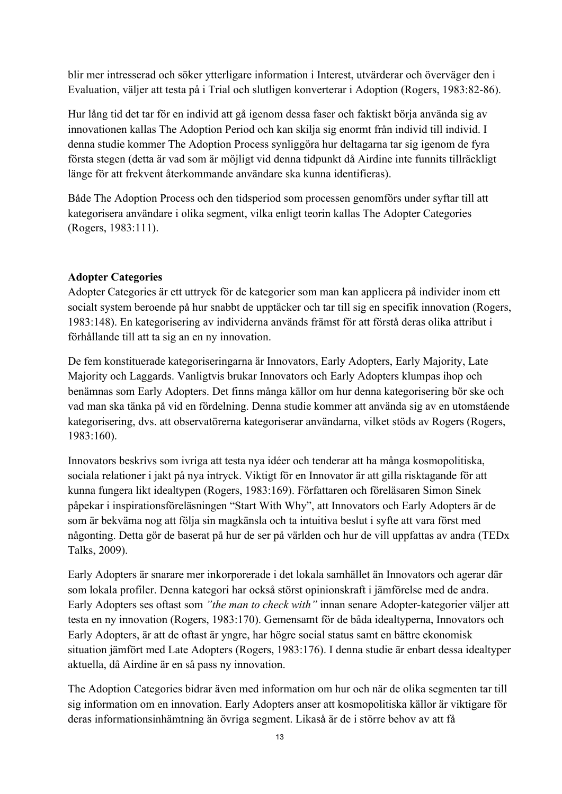blir mer intresserad och söker ytterligare information i Interest, utvärderar och överväger den i Evaluation, väljer att testa på i Trial och slutligen konverterar i Adoption (Rogers, 1983:82-86).

Hur lång tid det tar för en individ att gå igenom dessa faser och faktiskt börja använda sig av innovationen kallas The Adoption Period och kan skilja sig enormt från individ till individ. I denna studie kommer The Adoption Process synliggöra hur deltagarna tar sig igenom de fyra första stegen (detta är vad som är möjligt vid denna tidpunkt då Airdine inte funnits tillräckligt länge för att frekvent återkommande användare ska kunna identifieras).

Både The Adoption Process och den tidsperiod som processen genomförs under syftar till att kategorisera användare i olika segment, vilka enligt teorin kallas The Adopter Categories (Rogers, 1983:111).

### **Adopter Categories**

Adopter Categories är ett uttryck för de kategorier som man kan applicera på individer inom ett socialt system beroende på hur snabbt de upptäcker och tar till sig en specifik innovation (Rogers, 1983:148). En kategorisering av individerna används främst för att förstå deras olika attribut i förhållande till att ta sig an en ny innovation.

De fem konstituerade kategoriseringarna är Innovators, Early Adopters, Early Majority, Late Majority och Laggards. Vanligtvis brukar Innovators och Early Adopters klumpas ihop och benämnas som Early Adopters. Det finns många källor om hur denna kategorisering bör ske och vad man ska tänka på vid en fördelning. Denna studie kommer att använda sig av en utomstående kategorisering, dvs. att observatörerna kategoriserar användarna, vilket stöds av Rogers (Rogers, 1983:160).

Innovators beskrivs som ivriga att testa nya idéer och tenderar att ha många kosmopolitiska, sociala relationer i jakt på nya intryck. Viktigt för en Innovator är att gilla risktagande för att kunna fungera likt idealtypen (Rogers, 1983:169). Författaren och föreläsaren Simon Sinek påpekar i inspirationsföreläsningen "Start With Why", att Innovators och Early Adopters är de som är bekväma nog att följa sin magkänsla och ta intuitiva beslut i syfte att vara först med någonting. Detta gör de baserat på hur de ser på världen och hur de vill uppfattas av andra (TEDx Talks, 2009).

Early Adopters är snarare mer inkorporerade i det lokala samhället än Innovators och agerar där som lokala profiler. Denna kategori har också störst opinionskraft i jämförelse med de andra. Early Adopters ses oftast som *"the man to check with"* innan senare Adopter-kategorier väljer att testa en ny innovation (Rogers, 1983:170). Gemensamt för de båda idealtyperna, Innovators och Early Adopters, är att de oftast är yngre, har högre social status samt en bättre ekonomisk situation jämfört med Late Adopters (Rogers, 1983:176). I denna studie är enbart dessa idealtyper aktuella, då Airdine är en så pass ny innovation.

The Adoption Categories bidrar även med information om hur och när de olika segmenten tar till sig information om en innovation. Early Adopters anser att kosmopolitiska källor är viktigare för deras informationsinhämtning än övriga segment. Likaså är de i större behov av att få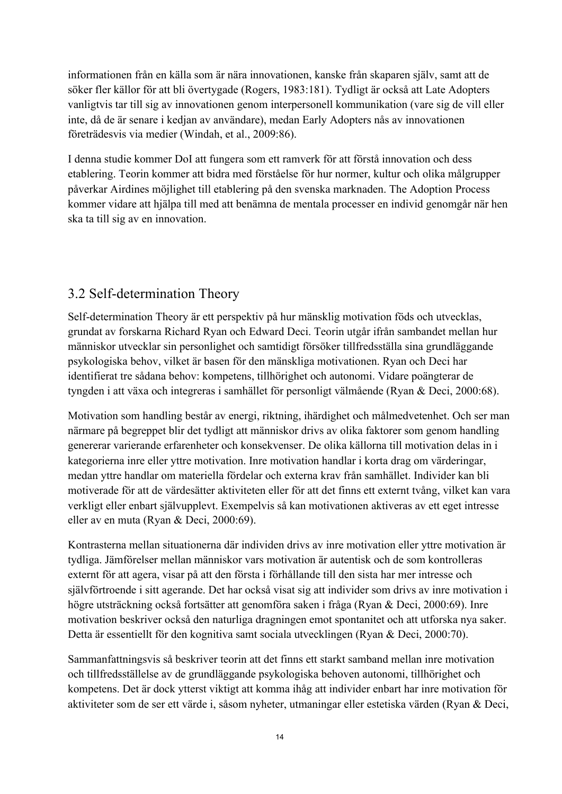informationen från en källa som är nära innovationen, kanske från skaparen själv, samt att de söker fler källor för att bli övertygade (Rogers, 1983:181). Tydligt är också att Late Adopters vanligtvis tar till sig av innovationen genom interpersonell kommunikation (vare sig de vill eller inte, då de är senare i kedjan av användare), medan Early Adopters nås av innovationen företrädesvis via medier (Windah, et al., 2009:86).

I denna studie kommer DoI att fungera som ett ramverk för att förstå innovation och dess etablering. Teorin kommer att bidra med förståelse för hur normer, kultur och olika målgrupper påverkar Airdines möjlighet till etablering på den svenska marknaden. The Adoption Process kommer vidare att hjälpa till med att benämna de mentala processer en individ genomgår när hen ska ta till sig av en innovation.

### 3.2 Self-determination Theory

Self-determination Theory är ett perspektiv på hur mänsklig motivation föds och utvecklas, grundat av forskarna Richard Ryan och Edward Deci. Teorin utgår ifrån sambandet mellan hur människor utvecklar sin personlighet och samtidigt försöker tillfredsställa sina grundläggande psykologiska behov, vilket är basen för den mänskliga motivationen. Ryan och Deci har identifierat tre sådana behov: kompetens, tillhörighet och autonomi. Vidare poängterar de tyngden i att växa och integreras i samhället för personligt välmående (Ryan & Deci, 2000:68).

Motivation som handling består av energi, riktning, ihärdighet och målmedvetenhet. Och ser man närmare på begreppet blir det tydligt att människor drivs av olika faktorer som genom handling genererar varierande erfarenheter och konsekvenser. De olika källorna till motivation delas in i kategorierna inre eller yttre motivation. Inre motivation handlar i korta drag om värderingar, medan yttre handlar om materiella fördelar och externa krav från samhället. Individer kan bli motiverade för att de värdesätter aktiviteten eller för att det finns ett externt tvång, vilket kan vara verkligt eller enbart självupplevt. Exempelvis så kan motivationen aktiveras av ett eget intresse eller av en muta (Ryan & Deci, 2000:69).

Kontrasterna mellan situationerna där individen drivs av inre motivation eller yttre motivation är tydliga. Jämförelser mellan människor vars motivation är autentisk och de som kontrolleras externt för att agera, visar på att den första i förhållande till den sista har mer intresse och självförtroende i sitt agerande. Det har också visat sig att individer som drivs av inre motivation i högre utsträckning också fortsätter att genomföra saken i fråga (Ryan & Deci, 2000:69). Inre motivation beskriver också den naturliga dragningen emot spontanitet och att utforska nya saker. Detta är essentiellt för den kognitiva samt sociala utvecklingen (Ryan & Deci, 2000:70).

Sammanfattningsvis så beskriver teorin att det finns ett starkt samband mellan inre motivation och tillfredsställelse av de grundläggande psykologiska behoven autonomi, tillhörighet och kompetens. Det är dock ytterst viktigt att komma ihåg att individer enbart har inre motivation för aktiviteter som de ser ett värde i, såsom nyheter, utmaningar eller estetiska värden (Ryan & Deci,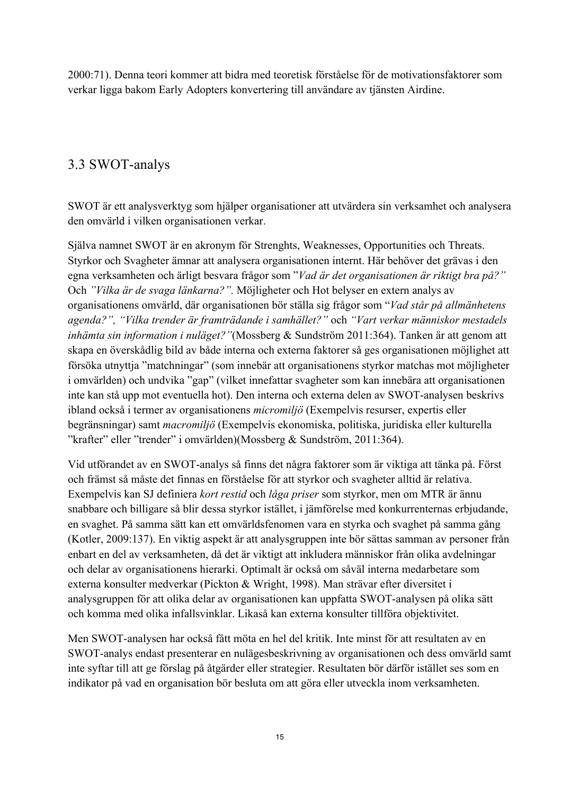2000:71). Denna teori kommer att bidra med teoretisk förståelse för de motivationsfaktorer som verkar ligga bakom Early Adopters konvertering till användare av tjänsten Airdine.

### 3.3 SWOT-analys

SWOT är ett analysverktyg som hjälper organisationer att utvärdera sin verksamhet och analysera den omvärld i vilken organisationen verkar.

Själva namnet SWOT är en akronym för Strenghts, Weaknesses, Opportunities och Threats. Styrkor och Svagheter ämnar att analysera organisationen internt. Här behöver det grävas i den egna verksamheten och ärligt besvara frågor som "*Vad är det organisationen är riktigt bra på?"*  Och *"Vilka är de svaga länkarna?".* Möjligheter och Hot belyser en extern analys av organisationens omvärld, där organisationen bör ställa sig frågor som "*Vad står på allmänhetens agenda?", "Vilka trender är framträdande i samhället?"* och *"Vart verkar människor mestadels inhämta sin information i nuläget?"*(Mossberg & Sundström 2011:364). Tanken är att genom att skapa en överskådlig bild av både interna och externa faktorer så ges organisationen möjlighet att försöka utnyttja "matchningar" (som innebär att organisationens styrkor matchas mot möjligheter i omvärlden) och undvika "gap" (vilket innefattar svagheter som kan innebära att organisationen inte kan stå upp mot eventuella hot). Den interna och externa delen av SWOT-analysen beskrivs ibland också i termer av organisationens *micromiljö* (Exempelvis resurser, expertis eller begränsningar) samt *macromiljö* (Exempelvis ekonomiska, politiska, juridiska eller kulturella "krafter" eller "trender" i omvärlden)(Mossberg & Sundström, 2011:364).

Vid utförandet av en SWOT-analys så finns det några faktorer som är viktiga att tänka på. Först och främst så måste det finnas en förståelse för att styrkor och svagheter alltid är relativa. Exempelvis kan SJ definiera *kort restid* och *låga priser* som styrkor, men om MTR är ännu snabbare och billigare så blir dessa styrkor istället, i jämförelse med konkurrenternas erbjudande, en svaghet. På samma sätt kan ett omvärldsfenomen vara en styrka och svaghet på samma gång (Kotler, 2009:137). En viktig aspekt är att analysgruppen inte bör sättas samman av personer från enbart en del av verksamheten, då det är viktigt att inkludera människor från olika avdelningar och delar av organisationens hierarki. Optimalt är också om såväl interna medarbetare som externa konsulter medverkar (Pickton & Wright, 1998). Man strävar efter diversitet i analysgruppen för att olika delar av organisationen kan uppfatta SWOT-analysen på olika sätt och komma med olika infallsvinklar. Likaså kan externa konsulter tillföra objektivitet.

Men SWOT-analysen har också fått möta en hel del kritik. Inte minst för att resultaten av en SWOT-analys endast presenterar en nulägesbeskrivning av organisationen och dess omvärld samt inte syftar till att ge förslag på åtgärder eller strategier. Resultaten bör därför istället ses som en indikator på vad en organisation bör besluta om att göra eller utveckla inom verksamheten.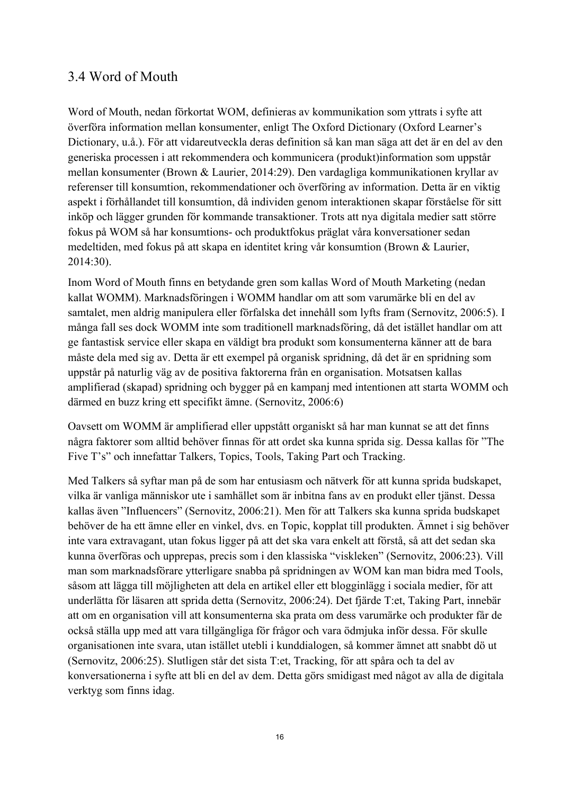### 3.4 Word of Mouth

Word of Mouth, nedan förkortat WOM, definieras av kommunikation som yttrats i syfte att överföra information mellan konsumenter, enligt The Oxford Dictionary (Oxford Learner's Dictionary, u.å.). För att vidareutveckla deras definition så kan man säga att det är en del av den generiska processen i att rekommendera och kommunicera (produkt)information som uppstår mellan konsumenter (Brown & Laurier, 2014:29). Den vardagliga kommunikationen kryllar av referenser till konsumtion, rekommendationer och överföring av information. Detta är en viktig aspekt i förhållandet till konsumtion, då individen genom interaktionen skapar förståelse för sitt inköp och lägger grunden för kommande transaktioner. Trots att nya digitala medier satt större fokus på WOM så har konsumtions- och produktfokus präglat våra konversationer sedan medeltiden, med fokus på att skapa en identitet kring vår konsumtion (Brown & Laurier, 2014:30).

Inom Word of Mouth finns en betydande gren som kallas Word of Mouth Marketing (nedan kallat WOMM). Marknadsföringen i WOMM handlar om att som varumärke bli en del av samtalet, men aldrig manipulera eller förfalska det innehåll som lyfts fram (Sernovitz, 2006:5). I många fall ses dock WOMM inte som traditionell marknadsföring, då det istället handlar om att ge fantastisk service eller skapa en väldigt bra produkt som konsumenterna känner att de bara måste dela med sig av. Detta är ett exempel på organisk spridning, då det är en spridning som uppstår på naturlig väg av de positiva faktorerna från en organisation. Motsatsen kallas amplifierad (skapad) spridning och bygger på en kampanj med intentionen att starta WOMM och därmed en buzz kring ett specifikt ämne. (Sernovitz, 2006:6)

Oavsett om WOMM är amplifierad eller uppstått organiskt så har man kunnat se att det finns några faktorer som alltid behöver finnas för att ordet ska kunna sprida sig. Dessa kallas för "The Five T's" och innefattar Talkers, Topics, Tools, Taking Part och Tracking.

Med Talkers så syftar man på de som har entusiasm och nätverk för att kunna sprida budskapet, vilka är vanliga människor ute i samhället som är inbitna fans av en produkt eller tjänst. Dessa kallas även "Influencers" (Sernovitz, 2006:21). Men för att Talkers ska kunna sprida budskapet behöver de ha ett ämne eller en vinkel, dvs. en Topic, kopplat till produkten. Ämnet i sig behöver inte vara extravagant, utan fokus ligger på att det ska vara enkelt att förstå, så att det sedan ska kunna överföras och upprepas, precis som i den klassiska "viskleken" (Sernovitz, 2006:23). Vill man som marknadsförare ytterligare snabba på spridningen av WOM kan man bidra med Tools, såsom att lägga till möjligheten att dela en artikel eller ett blogginlägg i sociala medier, för att underlätta för läsaren att sprida detta (Sernovitz, 2006:24). Det fjärde T:et, Taking Part, innebär att om en organisation vill att konsumenterna ska prata om dess varumärke och produkter får de också ställa upp med att vara tillgängliga för frågor och vara ödmjuka inför dessa. För skulle organisationen inte svara, utan istället utebli i kunddialogen, så kommer ämnet att snabbt dö ut (Sernovitz, 2006:25). Slutligen står det sista T:et, Tracking, för att spåra och ta del av konversationerna i syfte att bli en del av dem. Detta görs smidigast med något av alla de digitala verktyg som finns idag.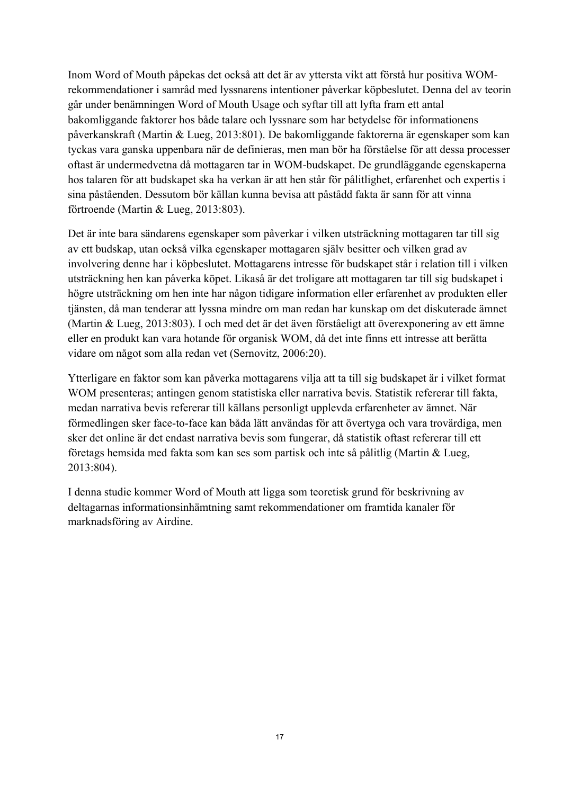Inom Word of Mouth påpekas det också att det är av yttersta vikt att förstå hur positiva WOMrekommendationer i samråd med lyssnarens intentioner påverkar köpbeslutet. Denna del av teorin går under benämningen Word of Mouth Usage och syftar till att lyfta fram ett antal bakomliggande faktorer hos både talare och lyssnare som har betydelse för informationens påverkanskraft (Martin & Lueg, 2013:801). De bakomliggande faktorerna är egenskaper som kan tyckas vara ganska uppenbara när de definieras, men man bör ha förståelse för att dessa processer oftast är undermedvetna då mottagaren tar in WOM-budskapet. De grundläggande egenskaperna hos talaren för att budskapet ska ha verkan är att hen står för pålitlighet, erfarenhet och expertis i sina påståenden. Dessutom bör källan kunna bevisa att påstådd fakta är sann för att vinna förtroende (Martin & Lueg, 2013:803).

Det är inte bara sändarens egenskaper som påverkar i vilken utsträckning mottagaren tar till sig av ett budskap, utan också vilka egenskaper mottagaren själv besitter och vilken grad av involvering denne har i köpbeslutet. Mottagarens intresse för budskapet står i relation till i vilken utsträckning hen kan påverka köpet. Likaså är det troligare att mottagaren tar till sig budskapet i högre utsträckning om hen inte har någon tidigare information eller erfarenhet av produkten eller tjänsten, då man tenderar att lyssna mindre om man redan har kunskap om det diskuterade ämnet (Martin & Lueg, 2013:803). I och med det är det även förståeligt att överexponering av ett ämne eller en produkt kan vara hotande för organisk WOM, då det inte finns ett intresse att berätta vidare om något som alla redan vet (Sernovitz, 2006:20).

Ytterligare en faktor som kan påverka mottagarens vilja att ta till sig budskapet är i vilket format WOM presenteras; antingen genom statistiska eller narrativa bevis. Statistik refererar till fakta, medan narrativa bevis refererar till källans personligt upplevda erfarenheter av ämnet. När förmedlingen sker face-to-face kan båda lätt användas för att övertyga och vara trovärdiga, men sker det online är det endast narrativa bevis som fungerar, då statistik oftast refererar till ett företags hemsida med fakta som kan ses som partisk och inte så pålitlig (Martin & Lueg, 2013:804).

I denna studie kommer Word of Mouth att ligga som teoretisk grund för beskrivning av deltagarnas informationsinhämtning samt rekommendationer om framtida kanaler för marknadsföring av Airdine.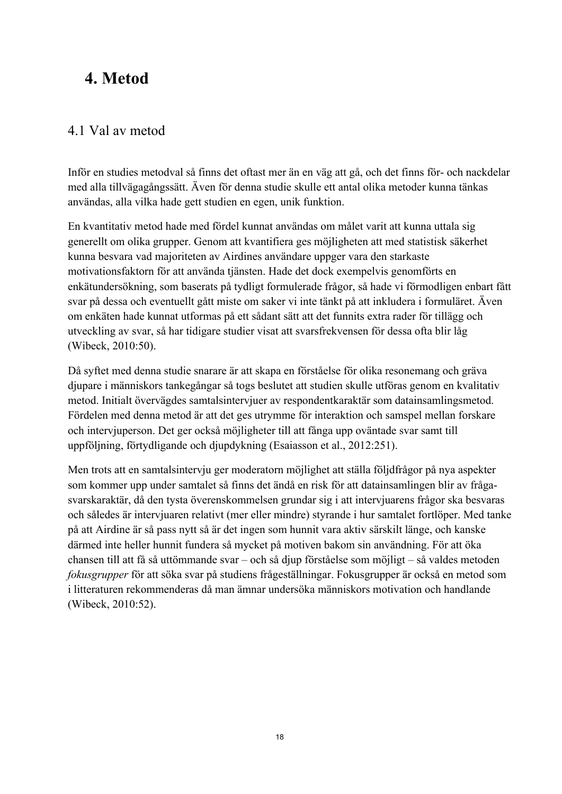# **4. Metod**

### 4.1 Val av metod

Inför en studies metodval så finns det oftast mer än en väg att gå, och det finns för- och nackdelar med alla tillvägagångssätt. Även för denna studie skulle ett antal olika metoder kunna tänkas användas, alla vilka hade gett studien en egen, unik funktion.

En kvantitativ metod hade med fördel kunnat användas om målet varit att kunna uttala sig generellt om olika grupper. Genom att kvantifiera ges möjligheten att med statistisk säkerhet kunna besvara vad majoriteten av Airdines användare uppger vara den starkaste motivationsfaktorn för att använda tjänsten. Hade det dock exempelvis genomförts en enkätundersökning, som baserats på tydligt formulerade frågor, så hade vi förmodligen enbart fått svar på dessa och eventuellt gått miste om saker vi inte tänkt på att inkludera i formuläret. Även om enkäten hade kunnat utformas på ett sådant sätt att det funnits extra rader för tillägg och utveckling av svar, så har tidigare studier visat att svarsfrekvensen för dessa ofta blir låg (Wibeck, 2010:50).

Då syftet med denna studie snarare är att skapa en förståelse för olika resonemang och gräva djupare i människors tankegångar så togs beslutet att studien skulle utföras genom en kvalitativ metod. Initialt övervägdes samtalsintervjuer av respondentkaraktär som datainsamlingsmetod. Fördelen med denna metod är att det ges utrymme för interaktion och samspel mellan forskare och intervjuperson. Det ger också möjligheter till att fånga upp oväntade svar samt till uppföljning, förtydligande och djupdykning (Esaiasson et al., 2012:251).

Men trots att en samtalsintervju ger moderatorn möjlighet att ställa följdfrågor på nya aspekter som kommer upp under samtalet så finns det ändå en risk för att datainsamlingen blir av frågasvarskaraktär, då den tysta överenskommelsen grundar sig i att intervjuarens frågor ska besvaras och således är intervjuaren relativt (mer eller mindre) styrande i hur samtalet fortlöper. Med tanke på att Airdine är så pass nytt så är det ingen som hunnit vara aktiv särskilt länge, och kanske därmed inte heller hunnit fundera så mycket på motiven bakom sin användning. För att öka chansen till att få så uttömmande svar – och så djup förståelse som möjligt – så valdes metoden *fokusgrupper* för att söka svar på studiens frågeställningar. Fokusgrupper är också en metod som i litteraturen rekommenderas då man ämnar undersöka människors motivation och handlande (Wibeck, 2010:52).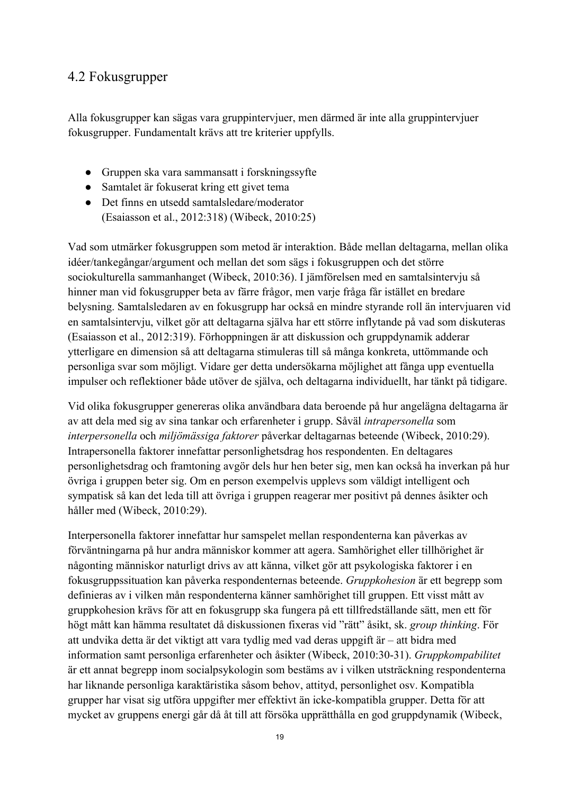### 4.2 Fokusgrupper

Alla fokusgrupper kan sägas vara gruppintervjuer, men därmed är inte alla gruppintervjuer fokusgrupper. Fundamentalt krävs att tre kriterier uppfylls.

- Gruppen ska vara sammansatt i forskningssyfte
- Samtalet är fokuserat kring ett givet tema
- Det finns en utsedd samtalsledare/moderator (Esaiasson et al., 2012:318) (Wibeck, 2010:25)

Vad som utmärker fokusgruppen som metod är interaktion. Både mellan deltagarna, mellan olika idéer/tankegångar/argument och mellan det som sägs i fokusgruppen och det större sociokulturella sammanhanget (Wibeck, 2010:36). I jämförelsen med en samtalsintervju så hinner man vid fokusgrupper beta av färre frågor, men varje fråga får istället en bredare belysning. Samtalsledaren av en fokusgrupp har också en mindre styrande roll än intervjuaren vid en samtalsintervju, vilket gör att deltagarna själva har ett större inflytande på vad som diskuteras (Esaiasson et al., 2012:319). Förhoppningen är att diskussion och gruppdynamik adderar ytterligare en dimension så att deltagarna stimuleras till så många konkreta, uttömmande och personliga svar som möjligt. Vidare ger detta undersökarna möjlighet att fånga upp eventuella impulser och reflektioner både utöver de själva, och deltagarna individuellt, har tänkt på tidigare.

Vid olika fokusgrupper genereras olika användbara data beroende på hur angelägna deltagarna är av att dela med sig av sina tankar och erfarenheter i grupp. Såväl *intrapersonella* som *interpersonella* och *miljömässiga faktorer* påverkar deltagarnas beteende (Wibeck, 2010:29). Intrapersonella faktorer innefattar personlighetsdrag hos respondenten. En deltagares personlighetsdrag och framtoning avgör dels hur hen beter sig, men kan också ha inverkan på hur övriga i gruppen beter sig. Om en person exempelvis upplevs som väldigt intelligent och sympatisk så kan det leda till att övriga i gruppen reagerar mer positivt på dennes åsikter och håller med (Wibeck, 2010:29).

Interpersonella faktorer innefattar hur samspelet mellan respondenterna kan påverkas av förväntningarna på hur andra människor kommer att agera. Samhörighet eller tillhörighet är någonting människor naturligt drivs av att känna, vilket gör att psykologiska faktorer i en fokusgruppssituation kan påverka respondenternas beteende. *Gruppkohesion* är ett begrepp som definieras av i vilken mån respondenterna känner samhörighet till gruppen. Ett visst mått av gruppkohesion krävs för att en fokusgrupp ska fungera på ett tillfredställande sätt, men ett för högt mått kan hämma resultatet då diskussionen fixeras vid "rätt" åsikt, sk. *group thinking*. För att undvika detta är det viktigt att vara tydlig med vad deras uppgift är – att bidra med information samt personliga erfarenheter och åsikter (Wibeck, 2010:30-31). *Gruppkompabilitet* är ett annat begrepp inom socialpsykologin som bestäms av i vilken utsträckning respondenterna har liknande personliga karaktäristika såsom behov, attityd, personlighet osv. Kompatibla grupper har visat sig utföra uppgifter mer effektivt än icke-kompatibla grupper. Detta för att mycket av gruppens energi går då åt till att försöka upprätthålla en god gruppdynamik (Wibeck,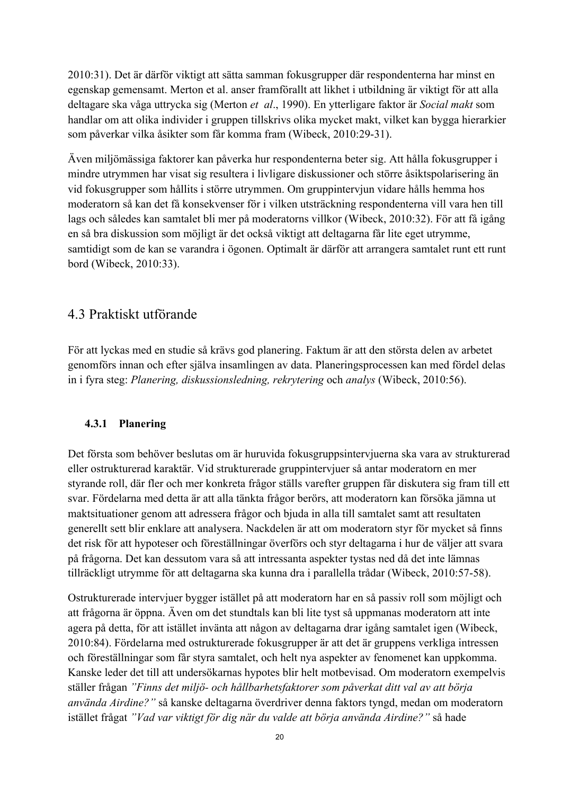2010:31). Det är därför viktigt att sätta samman fokusgrupper där respondenterna har minst en egenskap gemensamt. Merton et al. anser framförallt att likhet i utbildning är viktigt för att alla deltagare ska våga uttrycka sig (Merton *et al*., 1990). En ytterligare faktor är *Social makt* som handlar om att olika individer i gruppen tillskrivs olika mycket makt, vilket kan bygga hierarkier som påverkar vilka åsikter som får komma fram (Wibeck, 2010:29-31).

Även miljömässiga faktorer kan påverka hur respondenterna beter sig. Att hålla fokusgrupper i mindre utrymmen har visat sig resultera i livligare diskussioner och större åsiktspolarisering än vid fokusgrupper som hållits i större utrymmen. Om gruppintervjun vidare hålls hemma hos moderatorn så kan det få konsekvenser för i vilken utsträckning respondenterna vill vara hen till lags och således kan samtalet bli mer på moderatorns villkor (Wibeck, 2010:32). För att få igång en så bra diskussion som möjligt är det också viktigt att deltagarna får lite eget utrymme, samtidigt som de kan se varandra i ögonen. Optimalt är därför att arrangera samtalet runt ett runt bord (Wibeck, 2010:33).

### 4.3 Praktiskt utförande

För att lyckas med en studie så krävs god planering. Faktum är att den största delen av arbetet genomförs innan och efter själva insamlingen av data. Planeringsprocessen kan med fördel delas in i fyra steg: *Planering, diskussionsledning, rekrytering* och *analys* (Wibeck, 2010:56).

### **4.3.1 Planering**

Det första som behöver beslutas om är huruvida fokusgruppsintervjuerna ska vara av strukturerad eller ostrukturerad karaktär. Vid strukturerade gruppintervjuer så antar moderatorn en mer styrande roll, där fler och mer konkreta frågor ställs varefter gruppen får diskutera sig fram till ett svar. Fördelarna med detta är att alla tänkta frågor berörs, att moderatorn kan försöka jämna ut maktsituationer genom att adressera frågor och bjuda in alla till samtalet samt att resultaten generellt sett blir enklare att analysera. Nackdelen är att om moderatorn styr för mycket så finns det risk för att hypoteser och föreställningar överförs och styr deltagarna i hur de väljer att svara på frågorna. Det kan dessutom vara så att intressanta aspekter tystas ned då det inte lämnas tillräckligt utrymme för att deltagarna ska kunna dra i parallella trådar (Wibeck, 2010:57-58).

Ostrukturerade intervjuer bygger istället på att moderatorn har en så passiv roll som möjligt och att frågorna är öppna. Även om det stundtals kan bli lite tyst så uppmanas moderatorn att inte agera på detta, för att istället invänta att någon av deltagarna drar igång samtalet igen (Wibeck, 2010:84). Fördelarna med ostrukturerade fokusgrupper är att det är gruppens verkliga intressen och föreställningar som får styra samtalet, och helt nya aspekter av fenomenet kan uppkomma. Kanske leder det till att undersökarnas hypotes blir helt motbevisad. Om moderatorn exempelvis ställer frågan *"Finns det miljö- och hållbarhetsfaktorer som påverkat ditt val av att börja använda Airdine?"* så kanske deltagarna överdriver denna faktors tyngd, medan om moderatorn istället frågat *"Vad var viktigt för dig när du valde att börja använda Airdine?"* så hade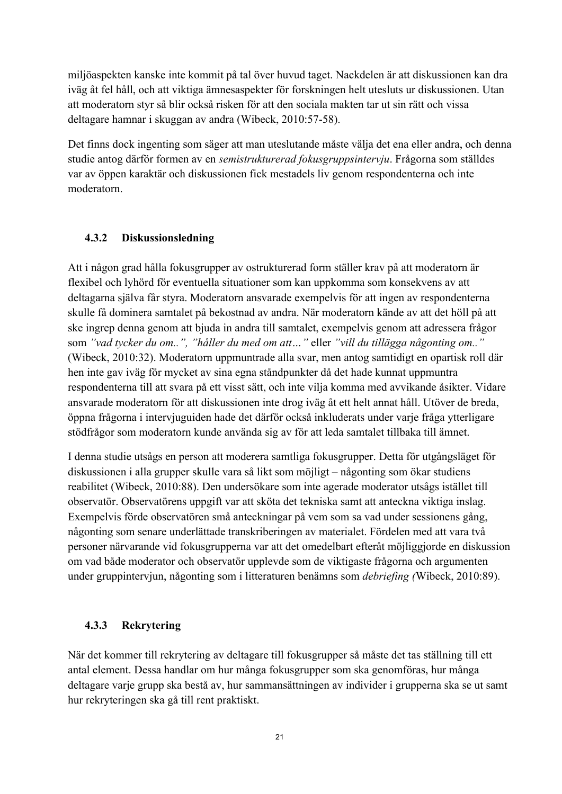miljöaspekten kanske inte kommit på tal över huvud taget. Nackdelen är att diskussionen kan dra iväg åt fel håll, och att viktiga ämnesaspekter för forskningen helt utesluts ur diskussionen. Utan att moderatorn styr så blir också risken för att den sociala makten tar ut sin rätt och vissa deltagare hamnar i skuggan av andra (Wibeck, 2010:57-58).

Det finns dock ingenting som säger att man uteslutande måste välja det ena eller andra, och denna studie antog därför formen av en *semistrukturerad fokusgruppsintervju*. Frågorna som ställdes var av öppen karaktär och diskussionen fick mestadels liv genom respondenterna och inte moderatorn.

### **4.3.2 Diskussionsledning**

Att i någon grad hålla fokusgrupper av ostrukturerad form ställer krav på att moderatorn är flexibel och lyhörd för eventuella situationer som kan uppkomma som konsekvens av att deltagarna själva får styra. Moderatorn ansvarade exempelvis för att ingen av respondenterna skulle få dominera samtalet på bekostnad av andra. När moderatorn kände av att det höll på att ske ingrep denna genom att bjuda in andra till samtalet, exempelvis genom att adressera frågor som *"vad tycker du om..", "håller du med om att…"* eller *"vill du tillägga någonting om.."*  (Wibeck, 2010:32). Moderatorn uppmuntrade alla svar, men antog samtidigt en opartisk roll där hen inte gav iväg för mycket av sina egna ståndpunkter då det hade kunnat uppmuntra respondenterna till att svara på ett visst sätt, och inte vilja komma med avvikande åsikter. Vidare ansvarade moderatorn för att diskussionen inte drog iväg åt ett helt annat håll. Utöver de breda, öppna frågorna i intervjuguiden hade det därför också inkluderats under varje fråga ytterligare stödfrågor som moderatorn kunde använda sig av för att leda samtalet tillbaka till ämnet.

I denna studie utsågs en person att moderera samtliga fokusgrupper. Detta för utgångsläget för diskussionen i alla grupper skulle vara så likt som möjligt – någonting som ökar studiens reabilitet (Wibeck, 2010:88). Den undersökare som inte agerade moderator utsågs istället till observatör. Observatörens uppgift var att sköta det tekniska samt att anteckna viktiga inslag. Exempelvis förde observatören små anteckningar på vem som sa vad under sessionens gång, någonting som senare underlättade transkriberingen av materialet. Fördelen med att vara två personer närvarande vid fokusgrupperna var att det omedelbart efteråt möjliggjorde en diskussion om vad både moderator och observatör upplevde som de viktigaste frågorna och argumenten under gruppintervjun, någonting som i litteraturen benämns som *debriefing (*Wibeck, 2010:89).

### **4.3.3 Rekrytering**

När det kommer till rekrytering av deltagare till fokusgrupper så måste det tas ställning till ett antal element. Dessa handlar om hur många fokusgrupper som ska genomföras, hur många deltagare varje grupp ska bestå av, hur sammansättningen av individer i grupperna ska se ut samt hur rekryteringen ska gå till rent praktiskt.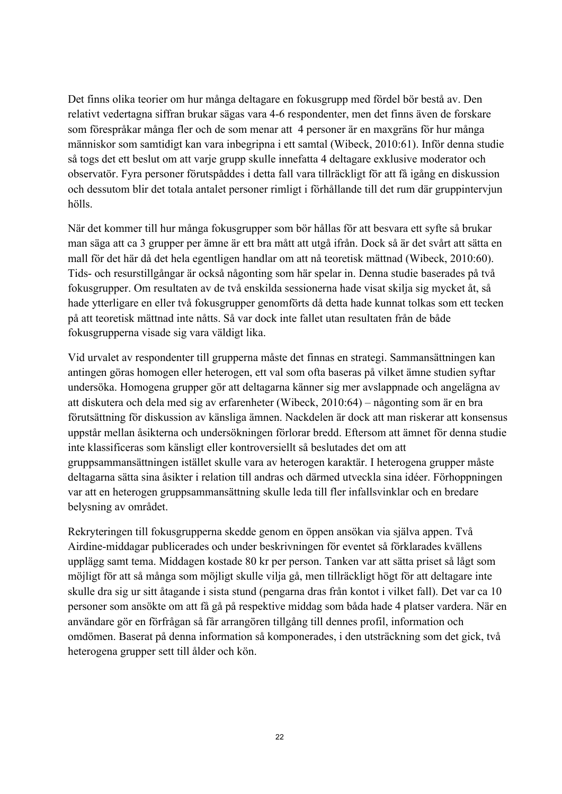Det finns olika teorier om hur många deltagare en fokusgrupp med fördel bör bestå av. Den relativt vedertagna siffran brukar sägas vara 4-6 respondenter, men det finns även de forskare som förespråkar många fler och de som menar att 4 personer är en maxgräns för hur många människor som samtidigt kan vara inbegripna i ett samtal (Wibeck, 2010:61). Inför denna studie så togs det ett beslut om att varje grupp skulle innefatta 4 deltagare exklusive moderator och observatör. Fyra personer förutspåddes i detta fall vara tillräckligt för att få igång en diskussion och dessutom blir det totala antalet personer rimligt i förhållande till det rum där gruppintervjun hölls.

När det kommer till hur många fokusgrupper som bör hållas för att besvara ett syfte så brukar man säga att ca 3 grupper per ämne är ett bra mått att utgå ifrån. Dock så är det svårt att sätta en mall för det här då det hela egentligen handlar om att nå teoretisk mättnad (Wibeck, 2010:60). Tids- och resurstillgångar är också någonting som här spelar in. Denna studie baserades på två fokusgrupper. Om resultaten av de två enskilda sessionerna hade visat skilja sig mycket åt, så hade ytterligare en eller två fokusgrupper genomförts då detta hade kunnat tolkas som ett tecken på att teoretisk mättnad inte nåtts. Så var dock inte fallet utan resultaten från de både fokusgrupperna visade sig vara väldigt lika.

Vid urvalet av respondenter till grupperna måste det finnas en strategi. Sammansättningen kan antingen göras homogen eller heterogen, ett val som ofta baseras på vilket ämne studien syftar undersöka. Homogena grupper gör att deltagarna känner sig mer avslappnade och angelägna av att diskutera och dela med sig av erfarenheter (Wibeck, 2010:64) – någonting som är en bra förutsättning för diskussion av känsliga ämnen. Nackdelen är dock att man riskerar att konsensus uppstår mellan åsikterna och undersökningen förlorar bredd. Eftersom att ämnet för denna studie inte klassificeras som känsligt eller kontroversiellt så beslutades det om att gruppsammansättningen istället skulle vara av heterogen karaktär. I heterogena grupper måste deltagarna sätta sina åsikter i relation till andras och därmed utveckla sina idéer. Förhoppningen var att en heterogen gruppsammansättning skulle leda till fler infallsvinklar och en bredare belysning av området.

Rekryteringen till fokusgrupperna skedde genom en öppen ansökan via själva appen. Två Airdine-middagar publicerades och under beskrivningen för eventet så förklarades kvällens upplägg samt tema. Middagen kostade 80 kr per person. Tanken var att sätta priset så lågt som möjligt för att så många som möjligt skulle vilja gå, men tillräckligt högt för att deltagare inte skulle dra sig ur sitt åtagande i sista stund (pengarna dras från kontot i vilket fall). Det var ca 10 personer som ansökte om att få gå på respektive middag som båda hade 4 platser vardera. När en användare gör en förfrågan så får arrangören tillgång till dennes profil, information och omdömen. Baserat på denna information så komponerades, i den utsträckning som det gick, två heterogena grupper sett till ålder och kön.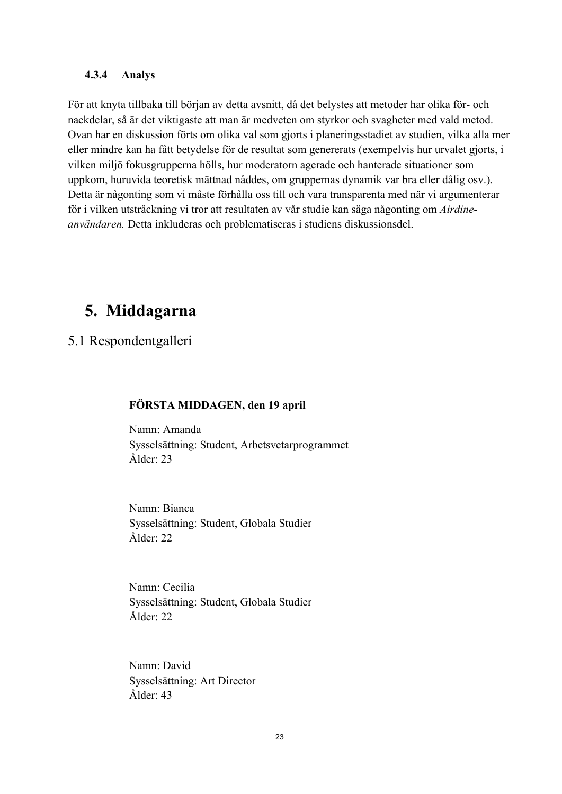#### **4.3.4 Analys**

För att knyta tillbaka till början av detta avsnitt, då det belystes att metoder har olika för- och nackdelar, så är det viktigaste att man är medveten om styrkor och svagheter med vald metod. Ovan har en diskussion förts om olika val som gjorts i planeringsstadiet av studien, vilka alla mer eller mindre kan ha fått betydelse för de resultat som genererats (exempelvis hur urvalet gjorts, i vilken miljö fokusgrupperna hölls, hur moderatorn agerade och hanterade situationer som uppkom, huruvida teoretisk mättnad nåddes, om gruppernas dynamik var bra eller dålig osv.). Detta är någonting som vi måste förhålla oss till och vara transparenta med när vi argumenterar för i vilken utsträckning vi tror att resultaten av vår studie kan säga någonting om *Airdineanvändaren.* Detta inkluderas och problematiseras i studiens diskussionsdel.

### **5. Middagarna**

5.1 Respondentgalleri

#### **FÖRSTA MIDDAGEN, den 19 april**

Namn: Amanda Sysselsättning: Student, Arbetsvetarprogrammet Ålder: 23

Namn: Bianca Sysselsättning: Student, Globala Studier Ålder: 22

Namn: Cecilia Sysselsättning: Student, Globala Studier Ålder: 22

Namn: David Sysselsättning: Art Director Ålder: 43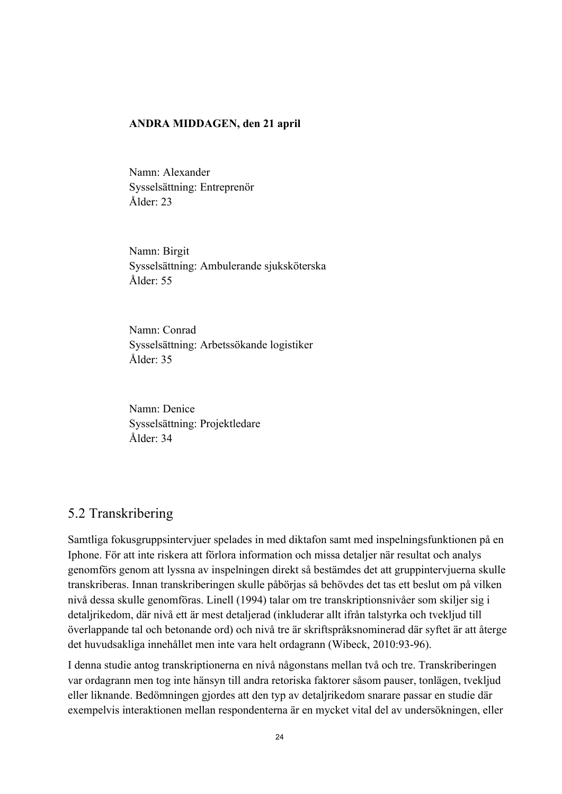#### **ANDRA MIDDAGEN, den 21 april**

Namn: Alexander Sysselsättning: Entreprenör Ålder: 23

Namn: Birgit Sysselsättning: Ambulerande sjuksköterska Ålder: 55

Namn: Conrad Sysselsättning: Arbetssökande logistiker Ålder: 35

Namn: Denice Sysselsättning: Projektledare Ålder: 34

### 5.2 Transkribering

Samtliga fokusgruppsintervjuer spelades in med diktafon samt med inspelningsfunktionen på en Iphone. För att inte riskera att förlora information och missa detaljer när resultat och analys genomförs genom att lyssna av inspelningen direkt så bestämdes det att gruppintervjuerna skulle transkriberas. Innan transkriberingen skulle påbörjas så behövdes det tas ett beslut om på vilken nivå dessa skulle genomföras. Linell (1994) talar om tre transkriptionsnivåer som skiljer sig i detaljrikedom, där nivå ett är mest detaljerad (inkluderar allt ifrån talstyrka och tvekljud till överlappande tal och betonande ord) och nivå tre är skriftspråksnominerad där syftet är att återge det huvudsakliga innehållet men inte vara helt ordagrann (Wibeck, 2010:93-96).

I denna studie antog transkriptionerna en nivå någonstans mellan två och tre. Transkriberingen var ordagrann men tog inte hänsyn till andra retoriska faktorer såsom pauser, tonlägen, tvekljud eller liknande. Bedömningen gjordes att den typ av detaljrikedom snarare passar en studie där exempelvis interaktionen mellan respondenterna är en mycket vital del av undersökningen, eller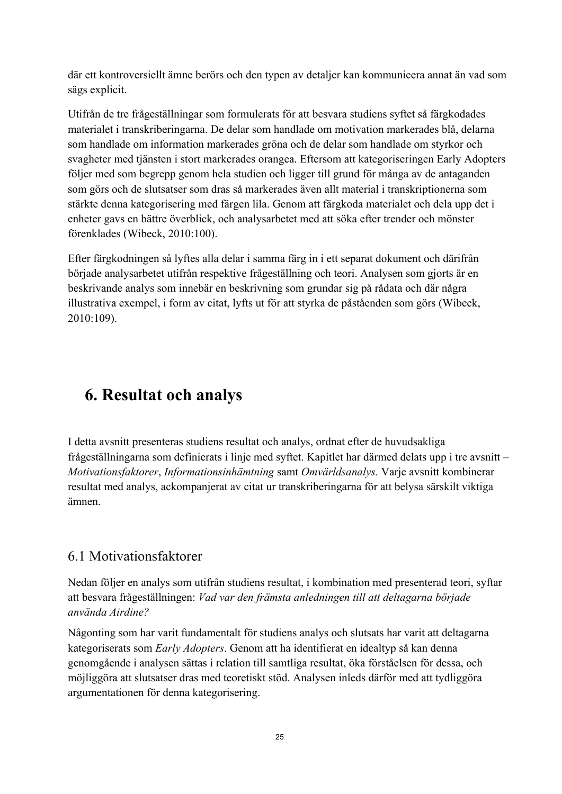där ett kontroversiellt ämne berörs och den typen av detaljer kan kommunicera annat än vad som sägs explicit.

Utifrån de tre frågeställningar som formulerats för att besvara studiens syftet så färgkodades materialet i transkriberingarna. De delar som handlade om motivation markerades blå, delarna som handlade om information markerades gröna och de delar som handlade om styrkor och svagheter med tjänsten i stort markerades orangea. Eftersom att kategoriseringen Early Adopters följer med som begrepp genom hela studien och ligger till grund för många av de antaganden som görs och de slutsatser som dras så markerades även allt material i transkriptionerna som stärkte denna kategorisering med färgen lila. Genom att färgkoda materialet och dela upp det i enheter gavs en bättre överblick, och analysarbetet med att söka efter trender och mönster förenklades (Wibeck, 2010:100).

Efter färgkodningen så lyftes alla delar i samma färg in i ett separat dokument och därifrån började analysarbetet utifrån respektive frågeställning och teori. Analysen som gjorts är en beskrivande analys som innebär en beskrivning som grundar sig på rådata och där några illustrativa exempel, i form av citat, lyfts ut för att styrka de påståenden som görs (Wibeck, 2010:109).

# **6. Resultat och analys**

I detta avsnitt presenteras studiens resultat och analys, ordnat efter de huvudsakliga frågeställningarna som definierats i linje med syftet. Kapitlet har därmed delats upp i tre avsnitt – *Motivationsfaktorer*, *Informationsinhämtning* samt *Omvärldsanalys.* Varje avsnitt kombinerar resultat med analys, ackompanjerat av citat ur transkriberingarna för att belysa särskilt viktiga ämnen.

### 6.1 Motivationsfaktorer

Nedan följer en analys som utifrån studiens resultat, i kombination med presenterad teori, syftar att besvara frågeställningen: *Vad var den främsta anledningen till att deltagarna började använda Airdine?*

Någonting som har varit fundamentalt för studiens analys och slutsats har varit att deltagarna kategoriserats som *Early Adopters*. Genom att ha identifierat en idealtyp så kan denna genomgående i analysen sättas i relation till samtliga resultat, öka förståelsen för dessa, och möjliggöra att slutsatser dras med teoretiskt stöd. Analysen inleds därför med att tydliggöra argumentationen för denna kategorisering.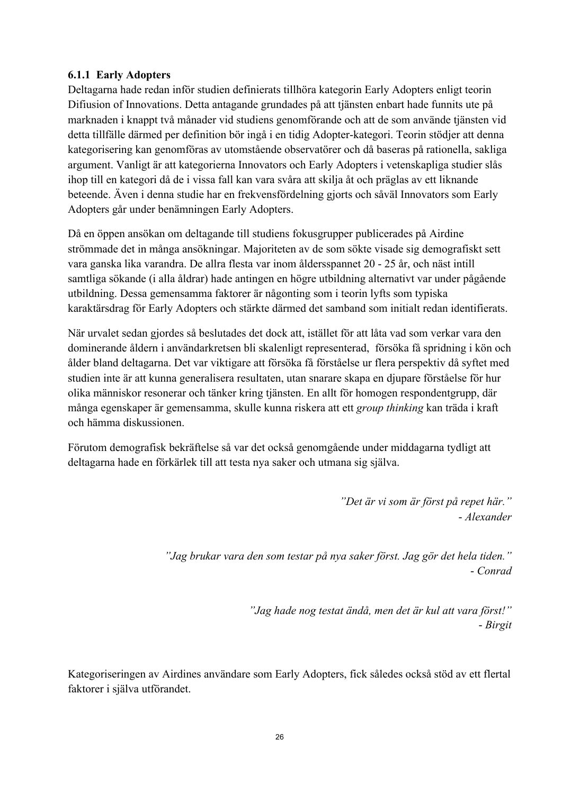### **6.1.1 Early Adopters**

Deltagarna hade redan inför studien definierats tillhöra kategorin Early Adopters enligt teorin Difiusion of Innovations. Detta antagande grundades på att tjänsten enbart hade funnits ute på marknaden i knappt två månader vid studiens genomförande och att de som använde tjänsten vid detta tillfälle därmed per definition bör ingå i en tidig Adopter-kategori. Teorin stödjer att denna kategorisering kan genomföras av utomstående observatörer och då baseras på rationella, sakliga argument. Vanligt är att kategorierna Innovators och Early Adopters i vetenskapliga studier slås ihop till en kategori då de i vissa fall kan vara svåra att skilja åt och präglas av ett liknande beteende. Även i denna studie har en frekvensfördelning gjorts och såväl Innovators som Early Adopters går under benämningen Early Adopters.

Då en öppen ansökan om deltagande till studiens fokusgrupper publicerades på Airdine strömmade det in många ansökningar. Majoriteten av de som sökte visade sig demografiskt sett vara ganska lika varandra. De allra flesta var inom åldersspannet 20 - 25 år, och näst intill samtliga sökande (i alla åldrar) hade antingen en högre utbildning alternativt var under pågående utbildning. Dessa gemensamma faktorer är någonting som i teorin lyfts som typiska karaktärsdrag för Early Adopters och stärkte därmed det samband som initialt redan identifierats.

När urvalet sedan gjordes så beslutades det dock att, istället för att låta vad som verkar vara den dominerande åldern i användarkretsen bli skalenligt representerad, försöka få spridning i kön och ålder bland deltagarna. Det var viktigare att försöka få förståelse ur flera perspektiv då syftet med studien inte är att kunna generalisera resultaten, utan snarare skapa en djupare förståelse för hur olika människor resonerar och tänker kring tjänsten. En allt för homogen respondentgrupp, där många egenskaper är gemensamma, skulle kunna riskera att ett *group thinking* kan träda i kraft och hämma diskussionen.

Förutom demografisk bekräftelse så var det också genomgående under middagarna tydligt att deltagarna hade en förkärlek till att testa nya saker och utmana sig själva.

> *"Det är vi som är först på repet här."* - *Alexander*

*"Jag brukar vara den som testar på nya saker först. Jag gör det hela tiden."* - *Conrad*

> *"Jag hade nog testat ändå, men det är kul att vara först!"* - *Birgit*

Kategoriseringen av Airdines användare som Early Adopters, fick således också stöd av ett flertal faktorer i själva utförandet.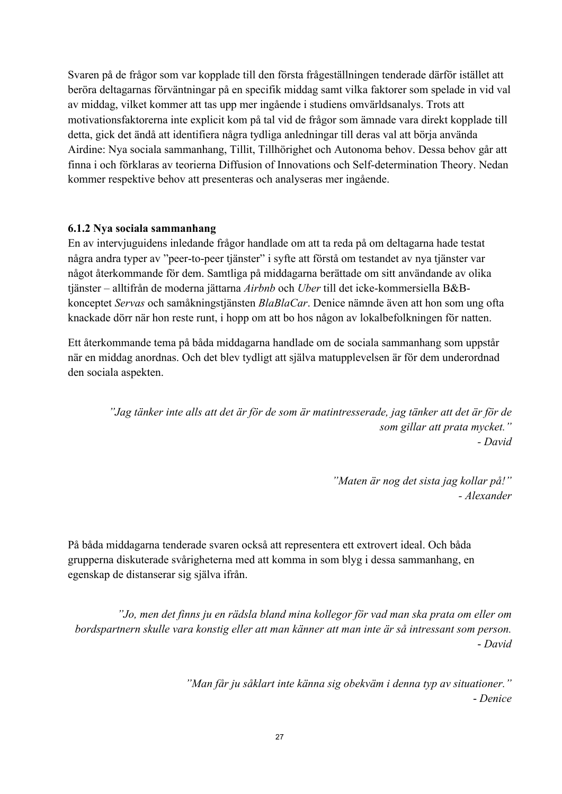Svaren på de frågor som var kopplade till den första frågeställningen tenderade därför istället att beröra deltagarnas förväntningar på en specifik middag samt vilka faktorer som spelade in vid val av middag, vilket kommer att tas upp mer ingående i studiens omvärldsanalys. Trots att motivationsfaktorerna inte explicit kom på tal vid de frågor som ämnade vara direkt kopplade till detta, gick det ändå att identifiera några tydliga anledningar till deras val att börja använda Airdine: Nya sociala sammanhang, Tillit, Tillhörighet och Autonoma behov. Dessa behov går att finna i och förklaras av teorierna Diffusion of Innovations och Self-determination Theory. Nedan kommer respektive behov att presenteras och analyseras mer ingående.

### **6.1.2 Nya sociala sammanhang**

En av intervjuguidens inledande frågor handlade om att ta reda på om deltagarna hade testat några andra typer av "peer-to-peer tjänster" i syfte att förstå om testandet av nya tjänster var något återkommande för dem. Samtliga på middagarna berättade om sitt användande av olika tjänster – alltifrån de moderna jättarna *Airbnb* och *Uber* till det icke-kommersiella B&Bkonceptet *Servas* och samåkningstjänsten *BlaBlaCar*. Denice nämnde även att hon som ung ofta knackade dörr när hon reste runt, i hopp om att bo hos någon av lokalbefolkningen för natten.

Ett återkommande tema på båda middagarna handlade om de sociala sammanhang som uppstår när en middag anordnas. Och det blev tydligt att själva matupplevelsen är för dem underordnad den sociala aspekten.

*"Jag tänker inte alls att det är för de som är matintresserade, jag tänker att det är för de som gillar att prata mycket." - David*

> *"Maten är nog det sista jag kollar på!" - Alexander*

På båda middagarna tenderade svaren också att representera ett extrovert ideal. Och båda grupperna diskuterade svårigheterna med att komma in som blyg i dessa sammanhang, en egenskap de distanserar sig själva ifrån.

*"Jo, men det finns ju en rädsla bland mina kollegor för vad man ska prata om eller om bordspartnern skulle vara konstig eller att man känner att man inte är så intressant som person.* - *David*

> *"Man får ju såklart inte känna sig obekväm i denna typ av situationer."* - *Denice*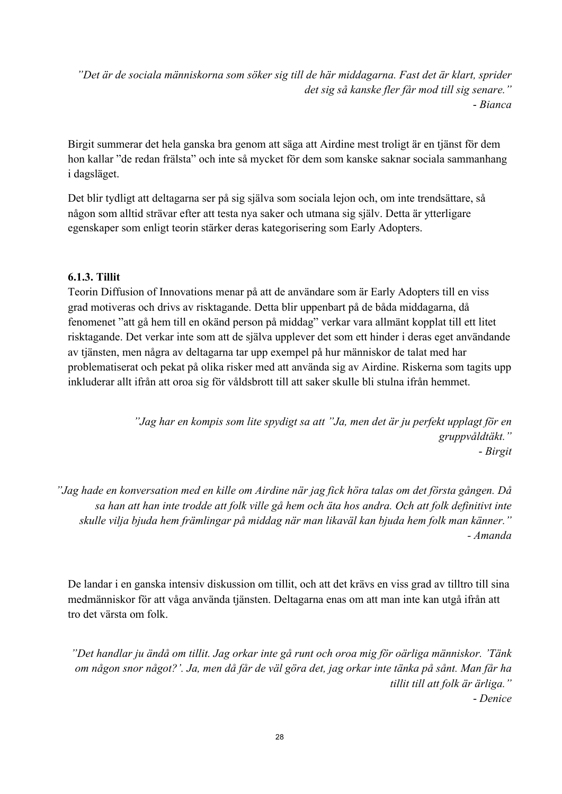*"Det är de sociala människorna som söker sig till de här middagarna. Fast det är klart, sprider det sig så kanske fler får mod till sig senare."* - *Bianca*

Birgit summerar det hela ganska bra genom att säga att Airdine mest troligt är en tjänst för dem hon kallar "de redan frälsta" och inte så mycket för dem som kanske saknar sociala sammanhang i dagsläget.

Det blir tydligt att deltagarna ser på sig själva som sociala lejon och, om inte trendsättare, så någon som alltid strävar efter att testa nya saker och utmana sig själv. Detta är ytterligare egenskaper som enligt teorin stärker deras kategorisering som Early Adopters.

### **6.1.3. Tillit**

Teorin Diffusion of Innovations menar på att de användare som är Early Adopters till en viss grad motiveras och drivs av risktagande. Detta blir uppenbart på de båda middagarna, då fenomenet "att gå hem till en okänd person på middag" verkar vara allmänt kopplat till ett litet risktagande. Det verkar inte som att de själva upplever det som ett hinder i deras eget användande av tjänsten, men några av deltagarna tar upp exempel på hur människor de talat med har problematiserat och pekat på olika risker med att använda sig av Airdine. Riskerna som tagits upp inkluderar allt ifrån att oroa sig för våldsbrott till att saker skulle bli stulna ifrån hemmet.

> *"Jag har en kompis som lite spydigt sa att "Ja, men det är ju perfekt upplagt för en gruppvåldtäkt."* - *Birgit*

*"Jag hade en konversation med en kille om Airdine när jag fick höra talas om det första gången. Då sa han att han inte trodde att folk ville gå hem och äta hos andra. Och att folk definitivt inte skulle vilja bjuda hem främlingar på middag när man likaväl kan bjuda hem folk man känner." - Amanda*

De landar i en ganska intensiv diskussion om tillit, och att det krävs en viss grad av tilltro till sina medmänniskor för att våga använda tjänsten. Deltagarna enas om att man inte kan utgå ifrån att tro det värsta om folk.

*"Det handlar ju ändå om tillit. Jag orkar inte gå runt och oroa mig för oärliga människor. 'Tänk om någon snor något?'. Ja, men då får de väl göra det, jag orkar inte tänka på sånt. Man får ha tillit till att folk är ärliga."* - *Denice*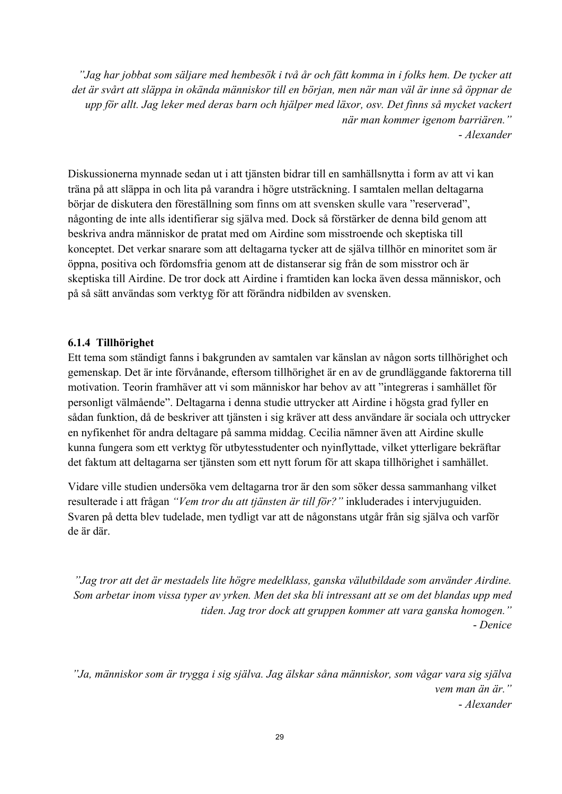*"Jag har jobbat som säljare med hembesök i två år och fått komma in i folks hem. De tycker att det är svårt att släppa in okända människor till en början, men när man väl är inne så öppnar de upp för allt. Jag leker med deras barn och hjälper med läxor, osv. Det finns så mycket vackert när man kommer igenom barriären."* - *Alexander*

Diskussionerna mynnade sedan ut i att tjänsten bidrar till en samhällsnytta i form av att vi kan träna på att släppa in och lita på varandra i högre utsträckning. I samtalen mellan deltagarna börjar de diskutera den föreställning som finns om att svensken skulle vara "reserverad", någonting de inte alls identifierar sig själva med. Dock så förstärker de denna bild genom att beskriva andra människor de pratat med om Airdine som misstroende och skeptiska till konceptet. Det verkar snarare som att deltagarna tycker att de själva tillhör en minoritet som är öppna, positiva och fördomsfria genom att de distanserar sig från de som misstror och är skeptiska till Airdine. De tror dock att Airdine i framtiden kan locka även dessa människor, och på så sätt användas som verktyg för att förändra nidbilden av svensken.

### **6.1.4 Tillhörighet**

Ett tema som ständigt fanns i bakgrunden av samtalen var känslan av någon sorts tillhörighet och gemenskap. Det är inte förvånande, eftersom tillhörighet är en av de grundläggande faktorerna till motivation. Teorin framhäver att vi som människor har behov av att "integreras i samhället för personligt välmående". Deltagarna i denna studie uttrycker att Airdine i högsta grad fyller en sådan funktion, då de beskriver att tjänsten i sig kräver att dess användare är sociala och uttrycker en nyfikenhet för andra deltagare på samma middag. Cecilia nämner även att Airdine skulle kunna fungera som ett verktyg för utbytesstudenter och nyinflyttade, vilket ytterligare bekräftar det faktum att deltagarna ser tjänsten som ett nytt forum för att skapa tillhörighet i samhället.

Vidare ville studien undersöka vem deltagarna tror är den som söker dessa sammanhang vilket resulterade i att frågan *"Vem tror du att tjänsten är till för?"* inkluderades i intervjuguiden. Svaren på detta blev tudelade, men tydligt var att de någonstans utgår från sig själva och varför de är där.

*"Jag tror att det är mestadels lite högre medelklass, ganska välutbildade som använder Airdine. Som arbetar inom vissa typer av yrken. Men det ska bli intressant att se om det blandas upp med tiden. Jag tror dock att gruppen kommer att vara ganska homogen."* - *Denice*

*"Ja, människor som är trygga i sig själva. Jag älskar såna människor, som vågar vara sig själva vem man än är."* - *Alexander*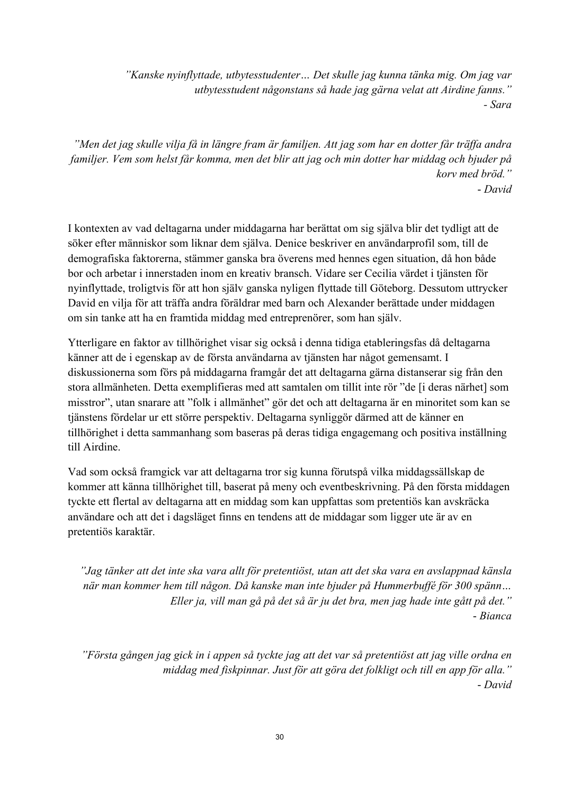*"Kanske nyinflyttade, utbytesstudenter… Det skulle jag kunna tänka mig. Om jag var utbytesstudent någonstans så hade jag gärna velat att Airdine fanns." - Sara*

*"Men det jag skulle vilja få in längre fram är familjen. Att jag som har en dotter får träffa andra familjer. Vem som helst får komma, men det blir att jag och min dotter har middag och bjuder på korv med bröd."*  - *David*

I kontexten av vad deltagarna under middagarna har berättat om sig själva blir det tydligt att de söker efter människor som liknar dem själva. Denice beskriver en användarprofil som, till de demografiska faktorerna, stämmer ganska bra överens med hennes egen situation, då hon både bor och arbetar i innerstaden inom en kreativ bransch. Vidare ser Cecilia värdet i tjänsten för nyinflyttade, troligtvis för att hon själv ganska nyligen flyttade till Göteborg. Dessutom uttrycker David en vilja för att träffa andra föräldrar med barn och Alexander berättade under middagen om sin tanke att ha en framtida middag med entreprenörer, som han själv.

Ytterligare en faktor av tillhörighet visar sig också i denna tidiga etableringsfas då deltagarna känner att de i egenskap av de första användarna av tjänsten har något gemensamt. I diskussionerna som förs på middagarna framgår det att deltagarna gärna distanserar sig från den stora allmänheten. Detta exemplifieras med att samtalen om tillit inte rör "de [i deras närhet] som misstror", utan snarare att "folk i allmänhet" gör det och att deltagarna är en minoritet som kan se tjänstens fördelar ur ett större perspektiv. Deltagarna synliggör därmed att de känner en tillhörighet i detta sammanhang som baseras på deras tidiga engagemang och positiva inställning till Airdine.

Vad som också framgick var att deltagarna tror sig kunna förutspå vilka middagssällskap de kommer att känna tillhörighet till, baserat på meny och eventbeskrivning. På den första middagen tyckte ett flertal av deltagarna att en middag som kan uppfattas som pretentiös kan avskräcka användare och att det i dagsläget finns en tendens att de middagar som ligger ute är av en pretentiös karaktär.

*"Jag tänker att det inte ska vara allt för pretentiöst, utan att det ska vara en avslappnad känsla när man kommer hem till någon. Då kanske man inte bjuder på Hummerbuffé för 300 spänn… Eller ja, vill man gå på det så är ju det bra, men jag hade inte gått på det."* - *Bianca* 

*"Första gången jag gick in i appen så tyckte jag att det var så pretentiöst att jag ville ordna en middag med fiskpinnar. Just för att göra det folkligt och till en app för alla."* - *David*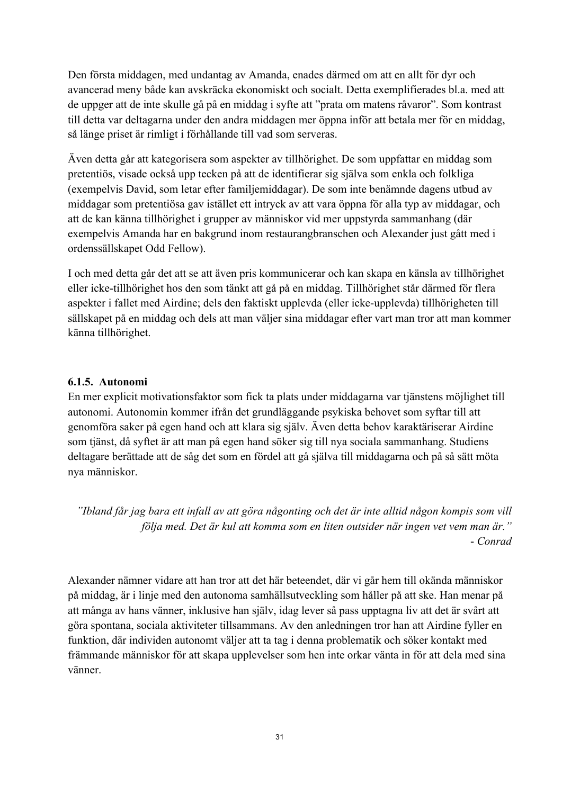Den första middagen, med undantag av Amanda, enades därmed om att en allt för dyr och avancerad meny både kan avskräcka ekonomiskt och socialt. Detta exemplifierades bl.a. med att de uppger att de inte skulle gå på en middag i syfte att "prata om matens råvaror". Som kontrast till detta var deltagarna under den andra middagen mer öppna inför att betala mer för en middag, så länge priset är rimligt i förhållande till vad som serveras.

Även detta går att kategorisera som aspekter av tillhörighet. De som uppfattar en middag som pretentiös, visade också upp tecken på att de identifierar sig själva som enkla och folkliga (exempelvis David, som letar efter familjemiddagar). De som inte benämnde dagens utbud av middagar som pretentiösa gav istället ett intryck av att vara öppna för alla typ av middagar, och att de kan känna tillhörighet i grupper av människor vid mer uppstyrda sammanhang (där exempelvis Amanda har en bakgrund inom restaurangbranschen och Alexander just gått med i ordenssällskapet Odd Fellow).

I och med detta går det att se att även pris kommunicerar och kan skapa en känsla av tillhörighet eller icke-tillhörighet hos den som tänkt att gå på en middag. Tillhörighet står därmed för flera aspekter i fallet med Airdine; dels den faktiskt upplevda (eller icke-upplevda) tillhörigheten till sällskapet på en middag och dels att man väljer sina middagar efter vart man tror att man kommer känna tillhörighet.

### **6.1.5. Autonomi**

En mer explicit motivationsfaktor som fick ta plats under middagarna var tjänstens möjlighet till autonomi. Autonomin kommer ifrån det grundläggande psykiska behovet som syftar till att genomföra saker på egen hand och att klara sig själv. Även detta behov karaktäriserar Airdine som tjänst, då syftet är att man på egen hand söker sig till nya sociala sammanhang. Studiens deltagare berättade att de såg det som en fördel att gå själva till middagarna och på så sätt möta nya människor.

*"Ibland får jag bara ett infall av att göra någonting och det är inte alltid någon kompis som vill följa med. Det är kul att komma som en liten outsider när ingen vet vem man är."* - *Conrad*

Alexander nämner vidare att han tror att det här beteendet, där vi går hem till okända människor på middag, är i linje med den autonoma samhällsutveckling som håller på att ske. Han menar på att många av hans vänner, inklusive han själv, idag lever så pass upptagna liv att det är svårt att göra spontana, sociala aktiviteter tillsammans. Av den anledningen tror han att Airdine fyller en funktion, där individen autonomt väljer att ta tag i denna problematik och söker kontakt med främmande människor för att skapa upplevelser som hen inte orkar vänta in för att dela med sina vänner.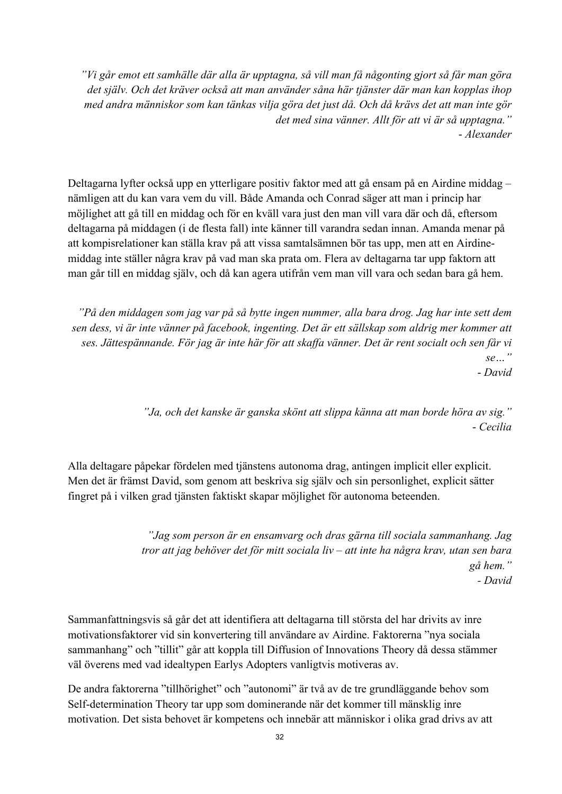*"Vi går emot ett samhälle där alla är upptagna, så vill man få någonting gjort så får man göra det själv. Och det kräver också att man använder såna här tjänster där man kan kopplas ihop med andra människor som kan tänkas vilja göra det just då. Och då krävs det att man inte gör det med sina vänner. Allt för att vi är så upptagna."* - *Alexander*

Deltagarna lyfter också upp en ytterligare positiv faktor med att gå ensam på en Airdine middag – nämligen att du kan vara vem du vill. Både Amanda och Conrad säger att man i princip har möjlighet att gå till en middag och för en kväll vara just den man vill vara där och då, eftersom deltagarna på middagen (i de flesta fall) inte känner till varandra sedan innan. Amanda menar på att kompisrelationer kan ställa krav på att vissa samtalsämnen bör tas upp, men att en Airdinemiddag inte ställer några krav på vad man ska prata om. Flera av deltagarna tar upp faktorn att man går till en middag själv, och då kan agera utifrån vem man vill vara och sedan bara gå hem.

*"På den middagen som jag var på så bytte ingen nummer, alla bara drog. Jag har inte sett dem sen dess, vi är inte vänner på facebook, ingenting. Det är ett sällskap som aldrig mer kommer att ses. Jättespännande. För jag är inte här för att skaffa vänner. Det är rent socialt och sen får vi se…"* - *David*

> *"Ja, och det kanske är ganska skönt att slippa känna att man borde höra av sig."* - *Cecilia*

Alla deltagare påpekar fördelen med tjänstens autonoma drag, antingen implicit eller explicit. Men det är främst David, som genom att beskriva sig själv och sin personlighet, explicit sätter fingret på i vilken grad tjänsten faktiskt skapar möjlighet för autonoma beteenden.

> *"Jag som person är en ensamvarg och dras gärna till sociala sammanhang. Jag tror att jag behöver det för mitt sociala liv – att inte ha några krav, utan sen bara gå hem." - David*

Sammanfattningsvis så går det att identifiera att deltagarna till största del har drivits av inre motivationsfaktorer vid sin konvertering till användare av Airdine. Faktorerna "nya sociala sammanhang" och "tillit" går att koppla till Diffusion of Innovations Theory då dessa stämmer väl överens med vad idealtypen Earlys Adopters vanligtvis motiveras av.

De andra faktorerna "tillhörighet" och "autonomi" är två av de tre grundläggande behov som Self-determination Theory tar upp som dominerande när det kommer till mänsklig inre motivation. Det sista behovet är kompetens och innebär att människor i olika grad drivs av att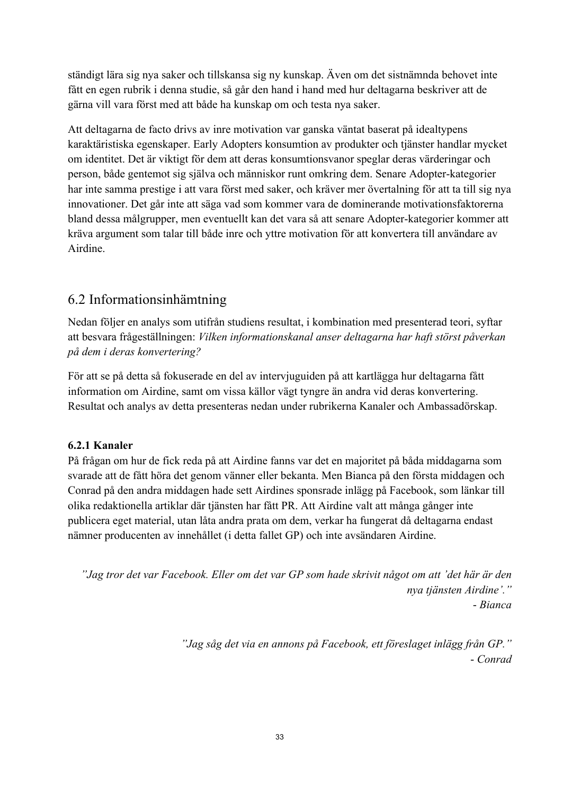ständigt lära sig nya saker och tillskansa sig ny kunskap. Även om det sistnämnda behovet inte fått en egen rubrik i denna studie, så går den hand i hand med hur deltagarna beskriver att de gärna vill vara först med att både ha kunskap om och testa nya saker.

Att deltagarna de facto drivs av inre motivation var ganska väntat baserat på idealtypens karaktäristiska egenskaper. Early Adopters konsumtion av produkter och tjänster handlar mycket om identitet. Det är viktigt för dem att deras konsumtionsvanor speglar deras värderingar och person, både gentemot sig själva och människor runt omkring dem. Senare Adopter-kategorier har inte samma prestige i att vara först med saker, och kräver mer övertalning för att ta till sig nya innovationer. Det går inte att säga vad som kommer vara de dominerande motivationsfaktorerna bland dessa målgrupper, men eventuellt kan det vara så att senare Adopter-kategorier kommer att kräva argument som talar till både inre och yttre motivation för att konvertera till användare av Airdine.

### 6.2 Informationsinhämtning

Nedan följer en analys som utifrån studiens resultat, i kombination med presenterad teori, syftar att besvara frågeställningen: *Vilken informationskanal anser deltagarna har haft störst påverkan på dem i deras konvertering?*

För att se på detta så fokuserade en del av intervjuguiden på att kartlägga hur deltagarna fått information om Airdine, samt om vissa källor vägt tyngre än andra vid deras konvertering. Resultat och analys av detta presenteras nedan under rubrikerna Kanaler och Ambassadörskap.

### **6.2.1 Kanaler**

På frågan om hur de fick reda på att Airdine fanns var det en majoritet på båda middagarna som svarade att de fått höra det genom vänner eller bekanta. Men Bianca på den första middagen och Conrad på den andra middagen hade sett Airdines sponsrade inlägg på Facebook, som länkar till olika redaktionella artiklar där tjänsten har fått PR. Att Airdine valt att många gånger inte publicera eget material, utan låta andra prata om dem, verkar ha fungerat då deltagarna endast nämner producenten av innehållet (i detta fallet GP) och inte avsändaren Airdine.

*"Jag tror det var Facebook. Eller om det var GP som hade skrivit något om att 'det här är den nya tjänsten Airdine'."* - *Bianca*

> *"Jag såg det via en annons på Facebook, ett föreslaget inlägg från GP."* - *Conrad*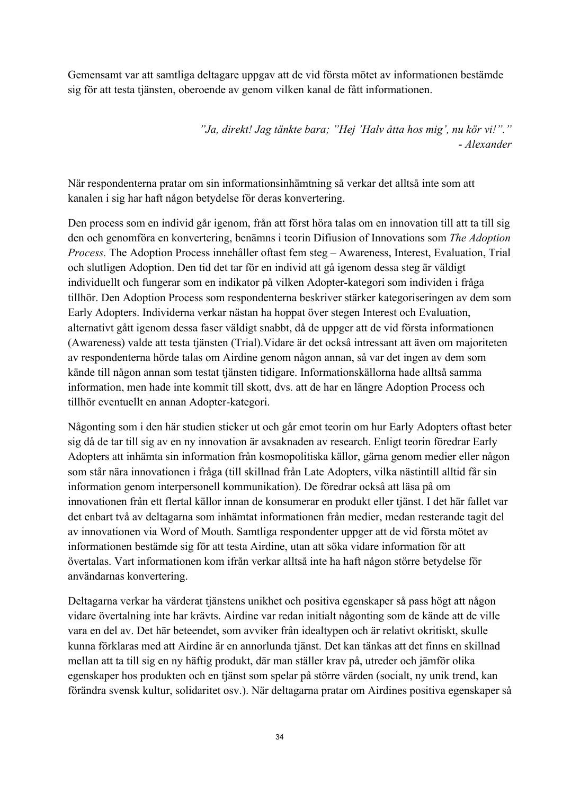Gemensamt var att samtliga deltagare uppgav att de vid första mötet av informationen bestämde sig för att testa tjänsten, oberoende av genom vilken kanal de fått informationen.

> *"Ja, direkt! Jag tänkte bara; "Hej 'Halv åtta hos mig', nu kör vi!"."* - *Alexander*

När respondenterna pratar om sin informationsinhämtning så verkar det alltså inte som att kanalen i sig har haft någon betydelse för deras konvertering.

Den process som en individ går igenom, från att först höra talas om en innovation till att ta till sig den och genomföra en konvertering, benämns i teorin Difiusion of Innovations som *The Adoption Process.* The Adoption Process innehåller oftast fem steg – Awareness, Interest, Evaluation, Trial och slutligen Adoption. Den tid det tar för en individ att gå igenom dessa steg är väldigt individuellt och fungerar som en indikator på vilken Adopter-kategori som individen i fråga tillhör. Den Adoption Process som respondenterna beskriver stärker kategoriseringen av dem som Early Adopters. Individerna verkar nästan ha hoppat över stegen Interest och Evaluation, alternativt gått igenom dessa faser väldigt snabbt, då de uppger att de vid första informationen (Awareness) valde att testa tjänsten (Trial).Vidare är det också intressant att även om majoriteten av respondenterna hörde talas om Airdine genom någon annan, så var det ingen av dem som kände till någon annan som testat tjänsten tidigare. Informationskällorna hade alltså samma information, men hade inte kommit till skott, dvs. att de har en längre Adoption Process och tillhör eventuellt en annan Adopter-kategori.

Någonting som i den här studien sticker ut och går emot teorin om hur Early Adopters oftast beter sig då de tar till sig av en ny innovation är avsaknaden av research. Enligt teorin föredrar Early Adopters att inhämta sin information från kosmopolitiska källor, gärna genom medier eller någon som står nära innovationen i fråga (till skillnad från Late Adopters, vilka nästintill alltid får sin information genom interpersonell kommunikation). De föredrar också att läsa på om innovationen från ett flertal källor innan de konsumerar en produkt eller tjänst. I det här fallet var det enbart två av deltagarna som inhämtat informationen från medier, medan resterande tagit del av innovationen via Word of Mouth. Samtliga respondenter uppger att de vid första mötet av informationen bestämde sig för att testa Airdine, utan att söka vidare information för att övertalas. Vart informationen kom ifrån verkar alltså inte ha haft någon större betydelse för användarnas konvertering.

Deltagarna verkar ha värderat tjänstens unikhet och positiva egenskaper så pass högt att någon vidare övertalning inte har krävts. Airdine var redan initialt någonting som de kände att de ville vara en del av. Det här beteendet, som avviker från idealtypen och är relativt okritiskt, skulle kunna förklaras med att Airdine är en annorlunda tjänst. Det kan tänkas att det finns en skillnad mellan att ta till sig en ny häftig produkt, där man ställer krav på, utreder och jämför olika egenskaper hos produkten och en tjänst som spelar på större värden (socialt, ny unik trend, kan förändra svensk kultur, solidaritet osv.). När deltagarna pratar om Airdines positiva egenskaper så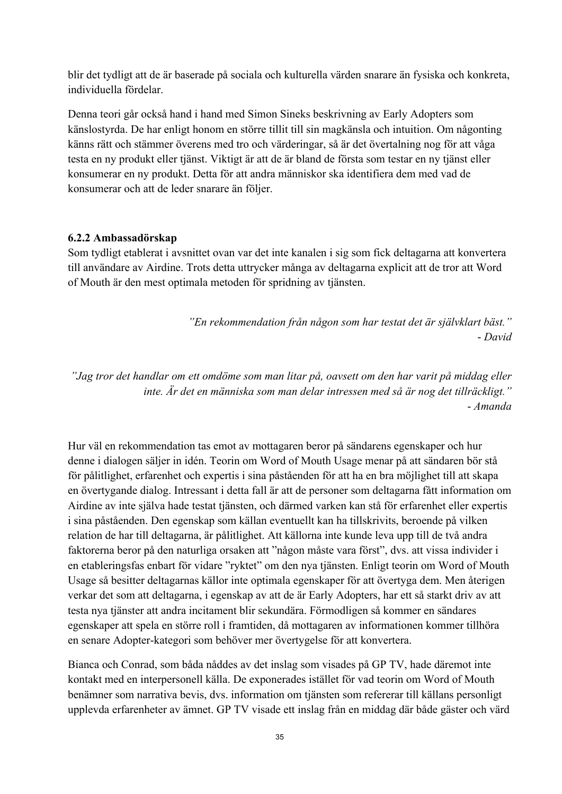blir det tydligt att de är baserade på sociala och kulturella värden snarare än fysiska och konkreta, individuella fördelar.

Denna teori går också hand i hand med Simon Sineks beskrivning av Early Adopters som känslostyrda. De har enligt honom en större tillit till sin magkänsla och intuition. Om någonting känns rätt och stämmer överens med tro och värderingar, så är det övertalning nog för att våga testa en ny produkt eller tjänst. Viktigt är att de är bland de första som testar en ny tjänst eller konsumerar en ny produkt. Detta för att andra människor ska identifiera dem med vad de konsumerar och att de leder snarare än följer.

#### **6.2.2 Ambassadörskap**

Som tydligt etablerat i avsnittet ovan var det inte kanalen i sig som fick deltagarna att konvertera till användare av Airdine. Trots detta uttrycker många av deltagarna explicit att de tror att Word of Mouth är den mest optimala metoden för spridning av tjänsten.

> *"En rekommendation från någon som har testat det är självklart bäst."* - *David*

*"Jag tror det handlar om ett omdöme som man litar på, oavsett om den har varit på middag eller inte. Är det en människa som man delar intressen med så är nog det tillräckligt."* - *Amanda*

Hur väl en rekommendation tas emot av mottagaren beror på sändarens egenskaper och hur denne i dialogen säljer in idén. Teorin om Word of Mouth Usage menar på att sändaren bör stå för pålitlighet, erfarenhet och expertis i sina påståenden för att ha en bra möjlighet till att skapa en övertygande dialog. Intressant i detta fall är att de personer som deltagarna fått information om Airdine av inte själva hade testat tjänsten, och därmed varken kan stå för erfarenhet eller expertis i sina påståenden. Den egenskap som källan eventuellt kan ha tillskrivits, beroende på vilken relation de har till deltagarna, är pålitlighet. Att källorna inte kunde leva upp till de två andra faktorerna beror på den naturliga orsaken att "någon måste vara först", dvs. att vissa individer i en etableringsfas enbart för vidare "ryktet" om den nya tjänsten. Enligt teorin om Word of Mouth Usage så besitter deltagarnas källor inte optimala egenskaper för att övertyga dem. Men återigen verkar det som att deltagarna, i egenskap av att de är Early Adopters, har ett så starkt driv av att testa nya tjänster att andra incitament blir sekundära. Förmodligen så kommer en sändares egenskaper att spela en större roll i framtiden, då mottagaren av informationen kommer tillhöra en senare Adopter-kategori som behöver mer övertygelse för att konvertera.

Bianca och Conrad, som båda nåddes av det inslag som visades på GP TV, hade däremot inte kontakt med en interpersonell källa. De exponerades istället för vad teorin om Word of Mouth benämner som narrativa bevis, dvs. information om tjänsten som refererar till källans personligt upplevda erfarenheter av ämnet. GP TV visade ett inslag från en middag där både gäster och värd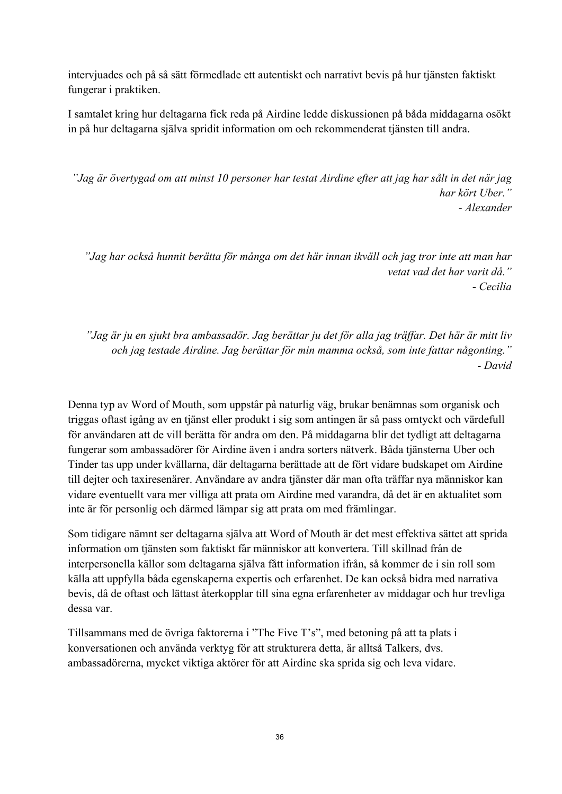intervjuades och på så sätt förmedlade ett autentiskt och narrativt bevis på hur tjänsten faktiskt fungerar i praktiken.

I samtalet kring hur deltagarna fick reda på Airdine ledde diskussionen på båda middagarna osökt in på hur deltagarna själva spridit information om och rekommenderat tjänsten till andra.

*"Jag är övertygad om att minst 10 personer har testat Airdine efter att jag har sålt in det när jag har kört Uber."* - *Alexander*

*"Jag har också hunnit berätta för många om det här innan ikväll och jag tror inte att man har vetat vad det har varit då."* - *Cecilia*

*"Jag är ju en sjukt bra ambassadör. Jag berättar ju det för alla jag träffar. Det här är mitt liv och jag testade Airdine. Jag berättar för min mamma också, som inte fattar någonting."* - *David*

Denna typ av Word of Mouth, som uppstår på naturlig väg, brukar benämnas som organisk och triggas oftast igång av en tjänst eller produkt i sig som antingen är så pass omtyckt och värdefull för användaren att de vill berätta för andra om den. På middagarna blir det tydligt att deltagarna fungerar som ambassadörer för Airdine även i andra sorters nätverk. Båda tjänsterna Uber och Tinder tas upp under kvällarna, där deltagarna berättade att de fört vidare budskapet om Airdine till dejter och taxiresenärer. Användare av andra tjänster där man ofta träffar nya människor kan vidare eventuellt vara mer villiga att prata om Airdine med varandra, då det är en aktualitet som inte är för personlig och därmed lämpar sig att prata om med främlingar.

Som tidigare nämnt ser deltagarna själva att Word of Mouth är det mest effektiva sättet att sprida information om tjänsten som faktiskt får människor att konvertera. Till skillnad från de interpersonella källor som deltagarna själva fått information ifrån, så kommer de i sin roll som källa att uppfylla båda egenskaperna expertis och erfarenhet. De kan också bidra med narrativa bevis, då de oftast och lättast återkopplar till sina egna erfarenheter av middagar och hur trevliga dessa var.

Tillsammans med de övriga faktorerna i "The Five T's", med betoning på att ta plats i konversationen och använda verktyg för att strukturera detta, är alltså Talkers, dvs. ambassadörerna, mycket viktiga aktörer för att Airdine ska sprida sig och leva vidare.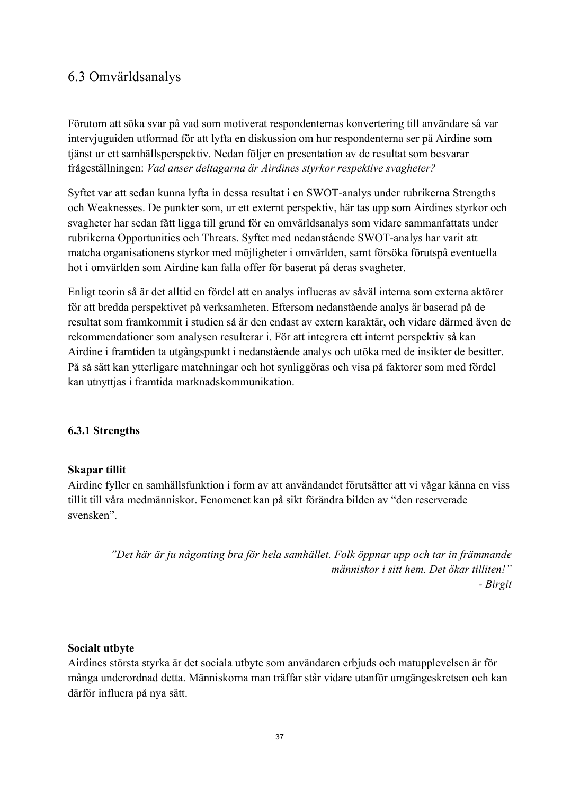### 6.3 Omvärldsanalys

Förutom att söka svar på vad som motiverat respondenternas konvertering till användare så var intervjuguiden utformad för att lyfta en diskussion om hur respondenterna ser på Airdine som tjänst ur ett samhällsperspektiv. Nedan följer en presentation av de resultat som besvarar frågeställningen: *Vad anser deltagarna är Airdines styrkor respektive svagheter?*

Syftet var att sedan kunna lyfta in dessa resultat i en SWOT-analys under rubrikerna Strengths och Weaknesses. De punkter som, ur ett externt perspektiv, här tas upp som Airdines styrkor och svagheter har sedan fått ligga till grund för en omvärldsanalys som vidare sammanfattats under rubrikerna Opportunities och Threats. Syftet med nedanstående SWOT-analys har varit att matcha organisationens styrkor med möjligheter i omvärlden, samt försöka förutspå eventuella hot i omvärlden som Airdine kan falla offer för baserat på deras svagheter.

Enligt teorin så är det alltid en fördel att en analys influeras av såväl interna som externa aktörer för att bredda perspektivet på verksamheten. Eftersom nedanstående analys är baserad på de resultat som framkommit i studien så är den endast av extern karaktär, och vidare därmed även de rekommendationer som analysen resulterar i. För att integrera ett internt perspektiv så kan Airdine i framtiden ta utgångspunkt i nedanstående analys och utöka med de insikter de besitter. På så sätt kan ytterligare matchningar och hot synliggöras och visa på faktorer som med fördel kan utnyttjas i framtida marknadskommunikation.

### **6.3.1 Strengths**

### **Skapar tillit**

Airdine fyller en samhällsfunktion i form av att användandet förutsätter att vi vågar känna en viss tillit till våra medmänniskor. Fenomenet kan på sikt förändra bilden av "den reserverade svensken".

> *"Det här är ju någonting bra för hela samhället. Folk öppnar upp och tar in främmande människor i sitt hem. Det ökar tilliten!" - Birgit*

### **Socialt utbyte**

Airdines största styrka är det sociala utbyte som användaren erbjuds och matupplevelsen är för många underordnad detta. Människorna man träffar står vidare utanför umgängeskretsen och kan därför influera på nya sätt.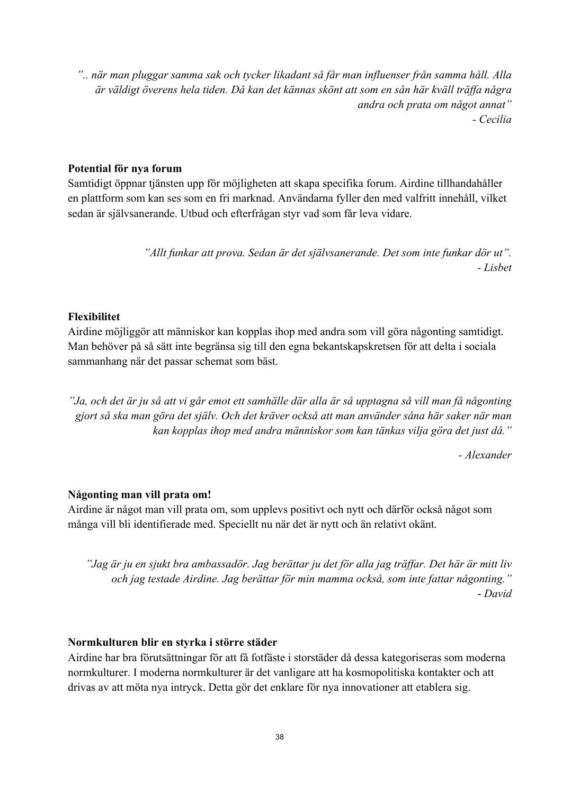*".. när man pluggar samma sak och tycker likadant så får man influenser från samma håll. Alla är väldigt överens hela tiden. Då kan det kännas skönt att som en sån här kväll träffa några andra och prata om något annat" - Cecilia*

### **Potential för nya forum**

Samtidigt öppnar tjänsten upp för möjligheten att skapa specifika forum. Airdine tillhandahåller en plattform som kan ses som en fri marknad. Användarna fyller den med valfritt innehåll, vilket sedan är självsanerande. Utbud och efterfrågan styr vad som får leva vidare.

> *"Allt funkar att prova. Sedan är det självsanerande. Det som inte funkar dör ut". - Lisbet*

### **Flexibilitet**

Airdine möjliggör att människor kan kopplas ihop med andra som vill göra någonting samtidigt. Man behöver på så sätt inte begränsa sig till den egna bekantskapskretsen för att delta i sociala sammanhang när det passar schemat som bäst.

*"Ja, och det är ju så att vi går emot ett samhälle där alla är så upptagna så vill man få någonting gjort så ska man göra det själv. Och det kräver också att man använder såna här saker när man kan kopplas ihop med andra människor som kan tänkas vilja göra det just då."*

*- Alexander*

### **Någonting man vill prata om!**

Airdine är något man vill prata om, som upplevs positivt och nytt och därför också något som många vill bli identifierade med. Speciellt nu när det är nytt och än relativt okänt.

*"Jag är ju en sjukt bra ambassadör. Jag berättar ju det för alla jag träffar. Det här är mitt liv och jag testade Airdine. Jag berättar för min mamma också, som inte fattar någonting."* - *David*

### **Normkulturen blir en styrka i större städer**

Airdine har bra förutsättningar för att få fotfäste i storstäder då dessa kategoriseras som moderna normkulturer. I moderna normkulturer är det vanligare att ha kosmopolitiska kontakter och att drivas av att möta nya intryck. Detta gör det enklare för nya innovationer att etablera sig.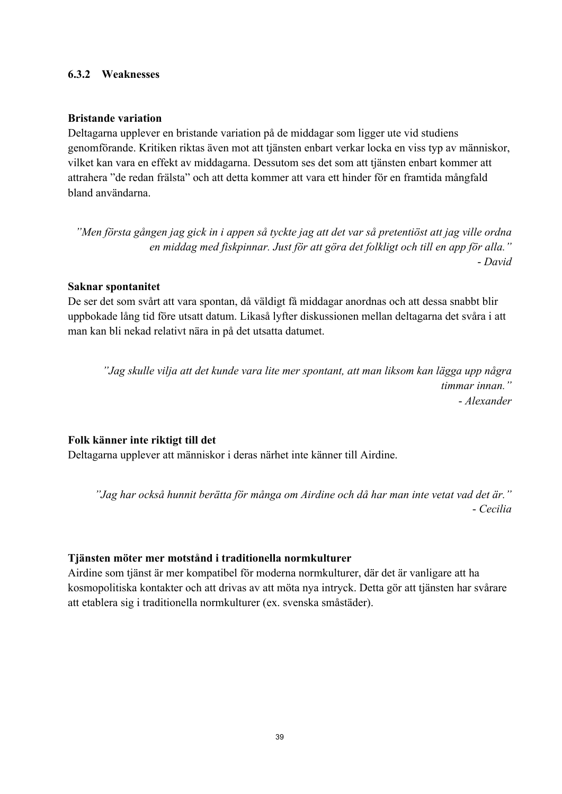#### **6.3.2 Weaknesses**

#### **Bristande variation**

Deltagarna upplever en bristande variation på de middagar som ligger ute vid studiens genomförande. Kritiken riktas även mot att tjänsten enbart verkar locka en viss typ av människor, vilket kan vara en effekt av middagarna. Dessutom ses det som att tjänsten enbart kommer att attrahera "de redan frälsta" och att detta kommer att vara ett hinder för en framtida mångfald bland användarna.

*"Men första gången jag gick in i appen så tyckte jag att det var så pretentiöst att jag ville ordna en middag med fiskpinnar. Just för att göra det folkligt och till en app för alla."* - *David*

#### **Saknar spontanitet**

De ser det som svårt att vara spontan, då väldigt få middagar anordnas och att dessa snabbt blir uppbokade lång tid före utsatt datum. Likaså lyfter diskussionen mellan deltagarna det svåra i att man kan bli nekad relativt nära in på det utsatta datumet.

*"Jag skulle vilja att det kunde vara lite mer spontant, att man liksom kan lägga upp några timmar innan."* - *Alexander*

### **Folk känner inte riktigt till det**

Deltagarna upplever att människor i deras närhet inte känner till Airdine.

*"Jag har också hunnit berätta för många om Airdine och då har man inte vetat vad det är."* - *Cecilia*

#### **Tjänsten möter mer motstånd i traditionella normkulturer**

Airdine som tjänst är mer kompatibel för moderna normkulturer, där det är vanligare att ha kosmopolitiska kontakter och att drivas av att möta nya intryck. Detta gör att tjänsten har svårare att etablera sig i traditionella normkulturer (ex. svenska småstäder).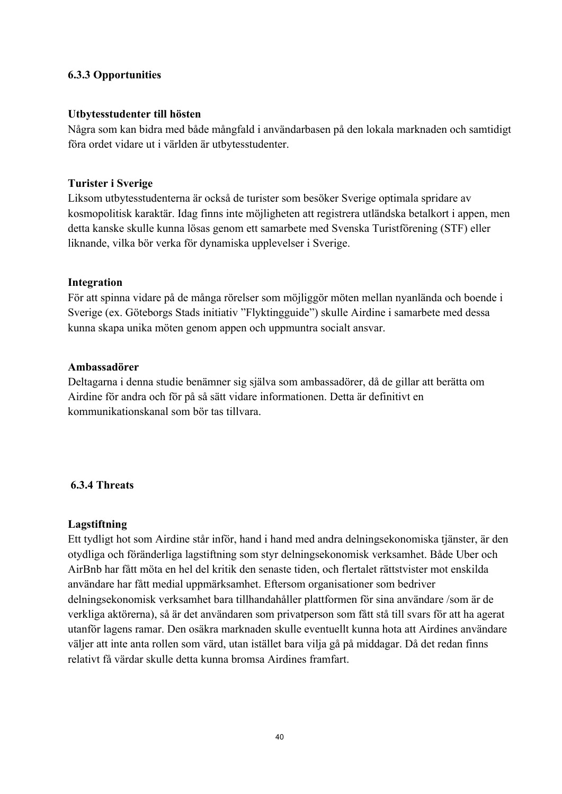### **6.3.3 Opportunities**

### **Utbytesstudenter till hösten**

Några som kan bidra med både mångfald i användarbasen på den lokala marknaden och samtidigt föra ordet vidare ut i världen är utbytesstudenter.

#### **Turister i Sverige**

Liksom utbytesstudenterna är också de turister som besöker Sverige optimala spridare av kosmopolitisk karaktär. Idag finns inte möjligheten att registrera utländska betalkort i appen, men detta kanske skulle kunna lösas genom ett samarbete med Svenska Turistförening (STF) eller liknande, vilka bör verka för dynamiska upplevelser i Sverige.

#### **Integration**

För att spinna vidare på de många rörelser som möjliggör möten mellan nyanlända och boende i Sverige (ex. Göteborgs Stads initiativ "Flyktingguide") skulle Airdine i samarbete med dessa kunna skapa unika möten genom appen och uppmuntra socialt ansvar.

#### **Ambassadörer**

Deltagarna i denna studie benämner sig själva som ambassadörer, då de gillar att berätta om Airdine för andra och för på så sätt vidare informationen. Detta är definitivt en kommunikationskanal som bör tas tillvara.

### **6.3.4 Threats**

### **Lagstiftning**

Ett tydligt hot som Airdine står inför, hand i hand med andra delningsekonomiska tjänster, är den otydliga och föränderliga lagstiftning som styr delningsekonomisk verksamhet. Både Uber och AirBnb har fått möta en hel del kritik den senaste tiden, och flertalet rättstvister mot enskilda användare har fått medial uppmärksamhet. Eftersom organisationer som bedriver delningsekonomisk verksamhet bara tillhandahåller plattformen för sina användare /som är de verkliga aktörerna), så är det användaren som privatperson som fått stå till svars för att ha agerat utanför lagens ramar. Den osäkra marknaden skulle eventuellt kunna hota att Airdines användare väljer att inte anta rollen som värd, utan istället bara vilja gå på middagar. Då det redan finns relativt få värdar skulle detta kunna bromsa Airdines framfart.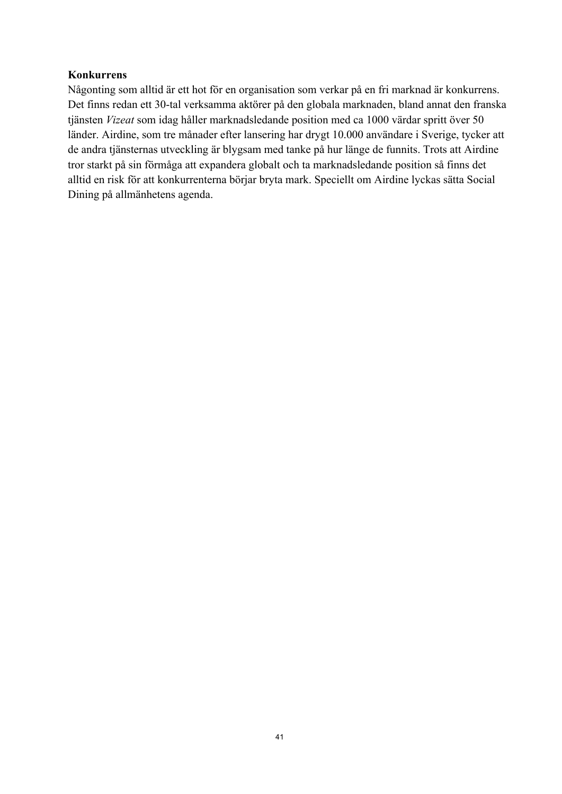### **Konkurrens**

Någonting som alltid är ett hot för en organisation som verkar på en fri marknad är konkurrens. Det finns redan ett 30-tal verksamma aktörer på den globala marknaden, bland annat den franska tjänsten *Vizeat* som idag håller marknadsledande position med ca 1000 värdar spritt över 50 länder. Airdine, som tre månader efter lansering har drygt 10.000 användare i Sverige, tycker att de andra tjänsternas utveckling är blygsam med tanke på hur länge de funnits. Trots att Airdine tror starkt på sin förmåga att expandera globalt och ta marknadsledande position så finns det alltid en risk för att konkurrenterna börjar bryta mark. Speciellt om Airdine lyckas sätta Social Dining på allmänhetens agenda.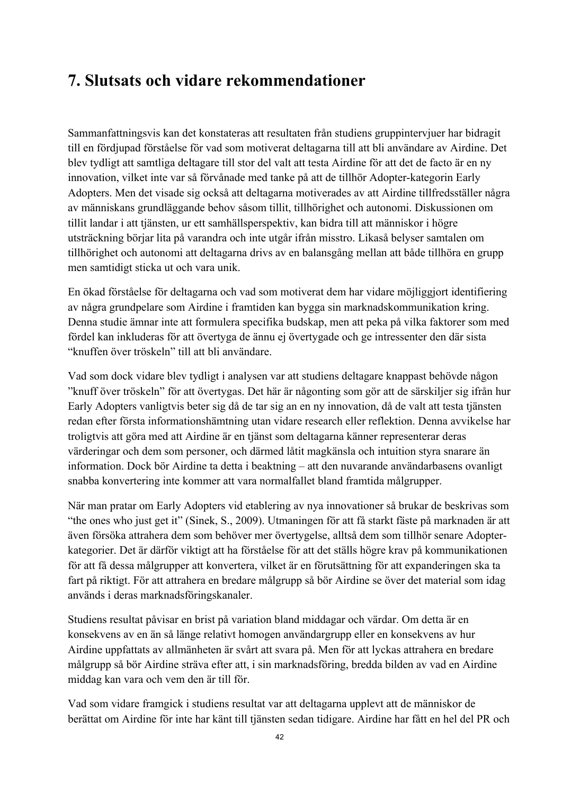# **7. Slutsats och vidare rekommendationer**

Sammanfattningsvis kan det konstateras att resultaten från studiens gruppintervjuer har bidragit till en fördjupad förståelse för vad som motiverat deltagarna till att bli användare av Airdine. Det blev tydligt att samtliga deltagare till stor del valt att testa Airdine för att det de facto är en ny innovation, vilket inte var så förvånade med tanke på att de tillhör Adopter-kategorin Early Adopters. Men det visade sig också att deltagarna motiverades av att Airdine tillfredsställer några av människans grundläggande behov såsom tillit, tillhörighet och autonomi. Diskussionen om tillit landar i att tjänsten, ur ett samhällsperspektiv, kan bidra till att människor i högre utsträckning börjar lita på varandra och inte utgår ifrån misstro. Likaså belyser samtalen om tillhörighet och autonomi att deltagarna drivs av en balansgång mellan att både tillhöra en grupp men samtidigt sticka ut och vara unik.

En ökad förståelse för deltagarna och vad som motiverat dem har vidare möjliggjort identifiering av några grundpelare som Airdine i framtiden kan bygga sin marknadskommunikation kring. Denna studie ämnar inte att formulera specifika budskap, men att peka på vilka faktorer som med fördel kan inkluderas för att övertyga de ännu ej övertygade och ge intressenter den där sista "knuffen över tröskeln" till att bli användare.

Vad som dock vidare blev tydligt i analysen var att studiens deltagare knappast behövde någon "knuff över tröskeln" för att övertygas. Det här är någonting som gör att de särskiljer sig ifrån hur Early Adopters vanligtvis beter sig då de tar sig an en ny innovation, då de valt att testa tjänsten redan efter första informationshämtning utan vidare research eller reflektion. Denna avvikelse har troligtvis att göra med att Airdine är en tjänst som deltagarna känner representerar deras värderingar och dem som personer, och därmed låtit magkänsla och intuition styra snarare än information. Dock bör Airdine ta detta i beaktning – att den nuvarande användarbasens ovanligt snabba konvertering inte kommer att vara normalfallet bland framtida målgrupper.

När man pratar om Early Adopters vid etablering av nya innovationer så brukar de beskrivas som "the ones who just get it" (Sinek, S., 2009). Utmaningen för att få starkt fäste på marknaden är att även försöka attrahera dem som behöver mer övertygelse, alltså dem som tillhör senare Adopterkategorier. Det är därför viktigt att ha förståelse för att det ställs högre krav på kommunikationen för att få dessa målgrupper att konvertera, vilket är en förutsättning för att expanderingen ska ta fart på riktigt. För att attrahera en bredare målgrupp så bör Airdine se över det material som idag används i deras marknadsföringskanaler.

Studiens resultat påvisar en brist på variation bland middagar och värdar. Om detta är en konsekvens av en än så länge relativt homogen användargrupp eller en konsekvens av hur Airdine uppfattats av allmänheten är svårt att svara på. Men för att lyckas attrahera en bredare målgrupp så bör Airdine sträva efter att, i sin marknadsföring, bredda bilden av vad en Airdine middag kan vara och vem den är till för.

Vad som vidare framgick i studiens resultat var att deltagarna upplevt att de människor de berättat om Airdine för inte har känt till tjänsten sedan tidigare. Airdine har fått en hel del PR och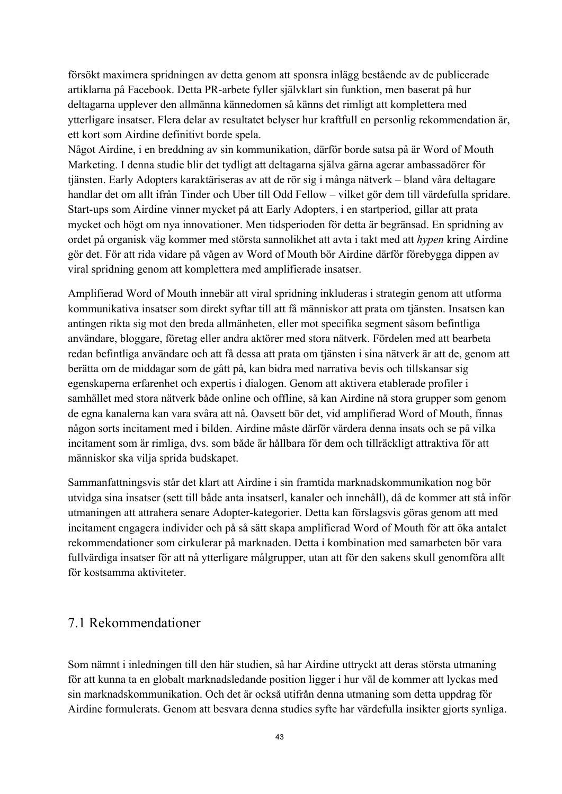försökt maximera spridningen av detta genom att sponsra inlägg bestående av de publicerade artiklarna på Facebook. Detta PR-arbete fyller självklart sin funktion, men baserat på hur deltagarna upplever den allmänna kännedomen så känns det rimligt att komplettera med ytterligare insatser. Flera delar av resultatet belyser hur kraftfull en personlig rekommendation är, ett kort som Airdine definitivt borde spela.

Något Airdine, i en breddning av sin kommunikation, därför borde satsa på är Word of Mouth Marketing. I denna studie blir det tydligt att deltagarna själva gärna agerar ambassadörer för tjänsten. Early Adopters karaktäriseras av att de rör sig i många nätverk – bland våra deltagare handlar det om allt ifrån Tinder och Uber till Odd Fellow – vilket gör dem till värdefulla spridare. Start-ups som Airdine vinner mycket på att Early Adopters, i en startperiod, gillar att prata mycket och högt om nya innovationer. Men tidsperioden för detta är begränsad. En spridning av ordet på organisk väg kommer med största sannolikhet att avta i takt med att *hypen* kring Airdine gör det. För att rida vidare på vågen av Word of Mouth bör Airdine därför förebygga dippen av viral spridning genom att komplettera med amplifierade insatser.

Amplifierad Word of Mouth innebär att viral spridning inkluderas i strategin genom att utforma kommunikativa insatser som direkt syftar till att få människor att prata om tjänsten. Insatsen kan antingen rikta sig mot den breda allmänheten, eller mot specifika segment såsom befintliga användare, bloggare, företag eller andra aktörer med stora nätverk. Fördelen med att bearbeta redan befintliga användare och att få dessa att prata om tjänsten i sina nätverk är att de, genom att berätta om de middagar som de gått på, kan bidra med narrativa bevis och tillskansar sig egenskaperna erfarenhet och expertis i dialogen. Genom att aktivera etablerade profiler i samhället med stora nätverk både online och offline, så kan Airdine nå stora grupper som genom de egna kanalerna kan vara svåra att nå. Oavsett bör det, vid amplifierad Word of Mouth, finnas någon sorts incitament med i bilden. Airdine måste därför värdera denna insats och se på vilka incitament som är rimliga, dvs. som både är hållbara för dem och tillräckligt attraktiva för att människor ska vilja sprida budskapet.

Sammanfattningsvis står det klart att Airdine i sin framtida marknadskommunikation nog bör utvidga sina insatser (sett till både anta insatserl, kanaler och innehåll), då de kommer att stå inför utmaningen att attrahera senare Adopter-kategorier. Detta kan förslagsvis göras genom att med incitament engagera individer och på så sätt skapa amplifierad Word of Mouth för att öka antalet rekommendationer som cirkulerar på marknaden. Detta i kombination med samarbeten bör vara fullvärdiga insatser för att nå ytterligare målgrupper, utan att för den sakens skull genomföra allt för kostsamma aktiviteter.

### 7.1 Rekommendationer

Som nämnt i inledningen till den här studien, så har Airdine uttryckt att deras största utmaning för att kunna ta en globalt marknadsledande position ligger i hur väl de kommer att lyckas med sin marknadskommunikation. Och det är också utifrån denna utmaning som detta uppdrag för Airdine formulerats. Genom att besvara denna studies syfte har värdefulla insikter gjorts synliga.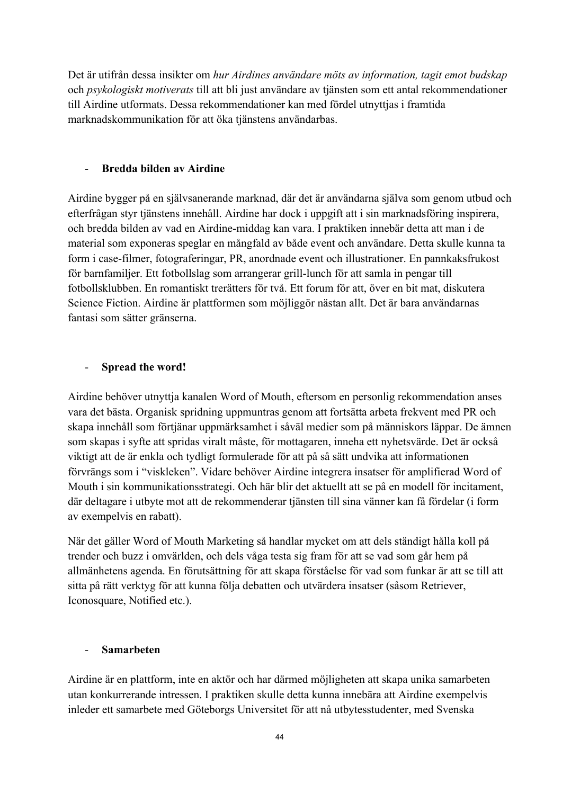Det är utifrån dessa insikter om *hur Airdines användare möts av information, tagit emot budskap* och *psykologiskt motiverats* till att bli just användare av tjänsten som ett antal rekommendationer till Airdine utformats. Dessa rekommendationer kan med fördel utnyttjas i framtida marknadskommunikation för att öka tjänstens användarbas.

### - **Bredda bilden av Airdine**

Airdine bygger på en självsanerande marknad, där det är användarna själva som genom utbud och efterfrågan styr tjänstens innehåll. Airdine har dock i uppgift att i sin marknadsföring inspirera, och bredda bilden av vad en Airdine-middag kan vara. I praktiken innebär detta att man i de material som exponeras speglar en mångfald av både event och användare. Detta skulle kunna ta form i case-filmer, fotograferingar, PR, anordnade event och illustrationer. En pannkaksfrukost för barnfamiljer. Ett fotbollslag som arrangerar grill-lunch för att samla in pengar till fotbollsklubben. En romantiskt trerätters för två. Ett forum för att, över en bit mat, diskutera Science Fiction. Airdine är plattformen som möjliggör nästan allt. Det är bara användarnas fantasi som sätter gränserna.

### - **Spread the word!**

Airdine behöver utnyttja kanalen Word of Mouth, eftersom en personlig rekommendation anses vara det bästa. Organisk spridning uppmuntras genom att fortsätta arbeta frekvent med PR och skapa innehåll som förtjänar uppmärksamhet i såväl medier som på människors läppar. De ämnen som skapas i syfte att spridas viralt måste, för mottagaren, inneha ett nyhetsvärde. Det är också viktigt att de är enkla och tydligt formulerade för att på så sätt undvika att informationen förvrängs som i "viskleken". Vidare behöver Airdine integrera insatser för amplifierad Word of Mouth i sin kommunikationsstrategi. Och här blir det aktuellt att se på en modell för incitament, där deltagare i utbyte mot att de rekommenderar tjänsten till sina vänner kan få fördelar (i form av exempelvis en rabatt).

När det gäller Word of Mouth Marketing så handlar mycket om att dels ständigt hålla koll på trender och buzz i omvärlden, och dels våga testa sig fram för att se vad som går hem på allmänhetens agenda. En förutsättning för att skapa förståelse för vad som funkar är att se till att sitta på rätt verktyg för att kunna följa debatten och utvärdera insatser (såsom Retriever, Iconosquare, Notified etc.).

### - **Samarbeten**

Airdine är en plattform, inte en aktör och har därmed möjligheten att skapa unika samarbeten utan konkurrerande intressen. I praktiken skulle detta kunna innebära att Airdine exempelvis inleder ett samarbete med Göteborgs Universitet för att nå utbytesstudenter, med Svenska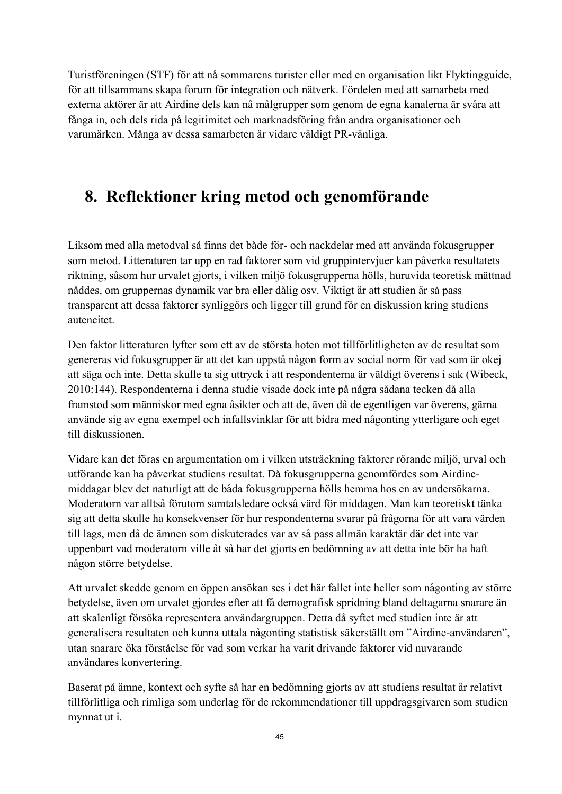Turistföreningen (STF) för att nå sommarens turister eller med en organisation likt Flyktingguide, för att tillsammans skapa forum för integration och nätverk. Fördelen med att samarbeta med externa aktörer är att Airdine dels kan nå målgrupper som genom de egna kanalerna är svåra att fånga in, och dels rida på legitimitet och marknadsföring från andra organisationer och varumärken. Många av dessa samarbeten är vidare väldigt PR-vänliga.

# **8. Reflektioner kring metod och genomförande**

Liksom med alla metodval så finns det både för- och nackdelar med att använda fokusgrupper som metod. Litteraturen tar upp en rad faktorer som vid gruppintervjuer kan påverka resultatets riktning, såsom hur urvalet gjorts, i vilken miljö fokusgrupperna hölls, huruvida teoretisk mättnad nåddes, om gruppernas dynamik var bra eller dålig osv. Viktigt är att studien är så pass transparent att dessa faktorer synliggörs och ligger till grund för en diskussion kring studiens autencitet.

Den faktor litteraturen lyfter som ett av de största hoten mot tillförlitligheten av de resultat som genereras vid fokusgrupper är att det kan uppstå någon form av social norm för vad som är okej att säga och inte. Detta skulle ta sig uttryck i att respondenterna är väldigt överens i sak (Wibeck, 2010:144). Respondenterna i denna studie visade dock inte på några sådana tecken då alla framstod som människor med egna åsikter och att de, även då de egentligen var överens, gärna använde sig av egna exempel och infallsvinklar för att bidra med någonting ytterligare och eget till diskussionen.

Vidare kan det föras en argumentation om i vilken utsträckning faktorer rörande miljö, urval och utförande kan ha påverkat studiens resultat. Då fokusgrupperna genomfördes som Airdinemiddagar blev det naturligt att de båda fokusgrupperna hölls hemma hos en av undersökarna. Moderatorn var alltså förutom samtalsledare också värd för middagen. Man kan teoretiskt tänka sig att detta skulle ha konsekvenser för hur respondenterna svarar på frågorna för att vara värden till lags, men då de ämnen som diskuterades var av så pass allmän karaktär där det inte var uppenbart vad moderatorn ville åt så har det gjorts en bedömning av att detta inte bör ha haft någon större betydelse.

Att urvalet skedde genom en öppen ansökan ses i det här fallet inte heller som någonting av större betydelse, även om urvalet gjordes efter att få demografisk spridning bland deltagarna snarare än att skalenligt försöka representera användargruppen. Detta då syftet med studien inte är att generalisera resultaten och kunna uttala någonting statistisk säkerställt om "Airdine-användaren", utan snarare öka förståelse för vad som verkar ha varit drivande faktorer vid nuvarande användares konvertering.

Baserat på ämne, kontext och syfte så har en bedömning gjorts av att studiens resultat är relativt tillförlitliga och rimliga som underlag för de rekommendationer till uppdragsgivaren som studien mynnat ut i.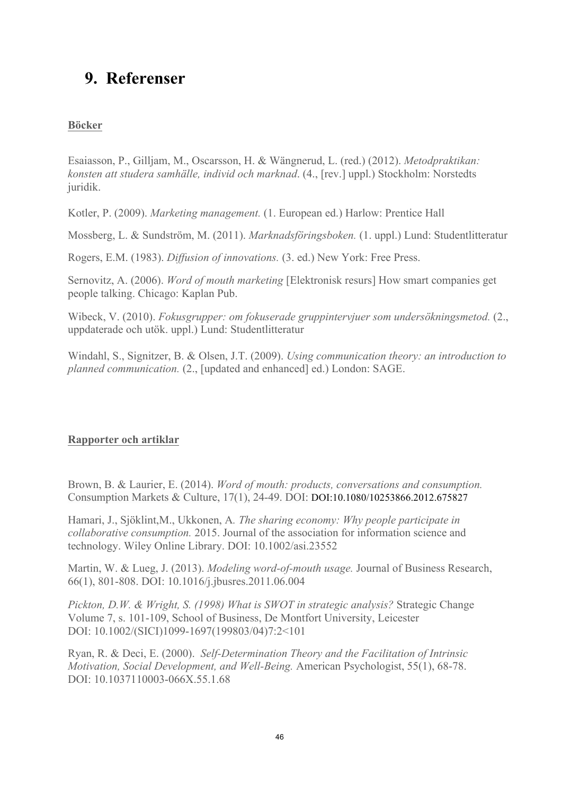# **9. Referenser**

### **Böcker**

Esaiasson, P., Gilljam, M., Oscarsson, H. & Wängnerud, L. (red.) (2012). *Metodpraktikan: konsten att studera samhälle, individ och marknad*. (4., [rev.] uppl.) Stockholm: Norstedts juridik.

Kotler, P. (2009). *Marketing management.* (1. European ed.) Harlow: Prentice Hall

Mossberg, L. & Sundström, M. (2011). *Marknadsföringsboken.* (1. uppl.) Lund: Studentlitteratur

Rogers, E.M. (1983). *Diffusion of innovations.* (3. ed.) New York: Free Press.

Sernovitz, A. (2006). *Word of mouth marketing* [Elektronisk resurs] How smart companies get people talking. Chicago: Kaplan Pub.

Wibeck, V. (2010). *Fokusgrupper: om fokuserade gruppintervjuer som undersökningsmetod.* (2., uppdaterade och utök. uppl.) Lund: Studentlitteratur

Windahl, S., Signitzer, B. & Olsen, J.T. (2009). *Using communication theory: an introduction to planned communication.* (2., [updated and enhanced] ed.) London: SAGE.

### **Rapporter och artiklar**

Brown, B. & Laurier, E. (2014). *Word of mouth: products, conversations and consumption.*  Consumption Markets & Culture, 17(1), 24-49. DOI: DOI:10.1080/10253866.2012.675827

Hamari, J., Sjöklint,M., Ukkonen, A*. The sharing economy: Why people participate in collaborative consumption.* 2015. Journal of the association for information science and technology. Wiley Online Library. DOI: 10.1002/asi.23552

Martin, W. & Lueg, J. (2013). *Modeling word-of-mouth usage.* Journal of Business Research, 66(1), 801-808. DOI: 10.1016/j.jbusres.2011.06.004

*Pickton, D.W. & Wright, S. (1998) What is SWOT in strategic analysis?* Strategic Change Volume 7, s. 101-109, School of Business, De Montfort University, Leicester DOI: 10.1002/(SICI)1099-1697(199803/04)7:2<101

Ryan, R. & Deci, E. (2000). *Self-Determination Theory and the Facilitation of Intrinsic Motivation, Social Development, and Well-Being.* American Psychologist, 55(1), 68-78. DOI: 10.1037110003-066X.55.1.68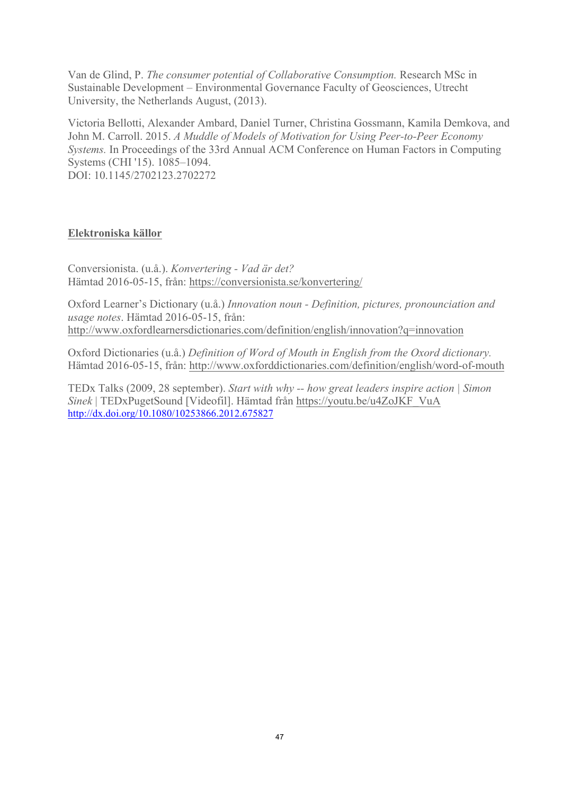Van de Glind, P. *The consumer potential of Collaborative Consumption.* Research MSc in Sustainable Development – Environmental Governance Faculty of Geosciences, Utrecht University, the Netherlands August, (2013).

Victoria Bellotti, Alexander Ambard, Daniel Turner, Christina Gossmann, Kamila Demkova, and John M. Carroll. 2015. *A Muddle of Models of Motivation for Using Peer-to-Peer Economy Systems.* In Proceedings of the 33rd Annual ACM Conference on Human Factors in Computing Systems (CHI '15). 1085–1094. DOI: 10.1145/2702123.2702272

### **Elektroniska källor**

Conversionista. (u.å.). *Konvertering - Vad är det?*  Hämtad 2016-05-15, från: https://conversionista.se/konvertering/

Oxford Learner's Dictionary (u.å.) *Innovation noun - Definition, pictures, pronounciation and usage notes*. Hämtad 2016-05-15, från: http://www.oxfordlearnersdictionaries.com/definition/english/innovation?q=innovation

Oxford Dictionaries (u.å.) *Definition of Word of Mouth in English from the Oxord dictionary.* Hämtad 2016-05-15, från: http://www.oxforddictionaries.com/definition/english/word-of-mouth

TEDx Talks (2009, 28 september). *Start with why -- how great leaders inspire action | Simon Sinek* | TEDxPugetSound [Videofil]. Hämtad från https://youtu.be/u4ZoJKF\_VuA http://dx.doi.org/10.1080/10253866.2012.675827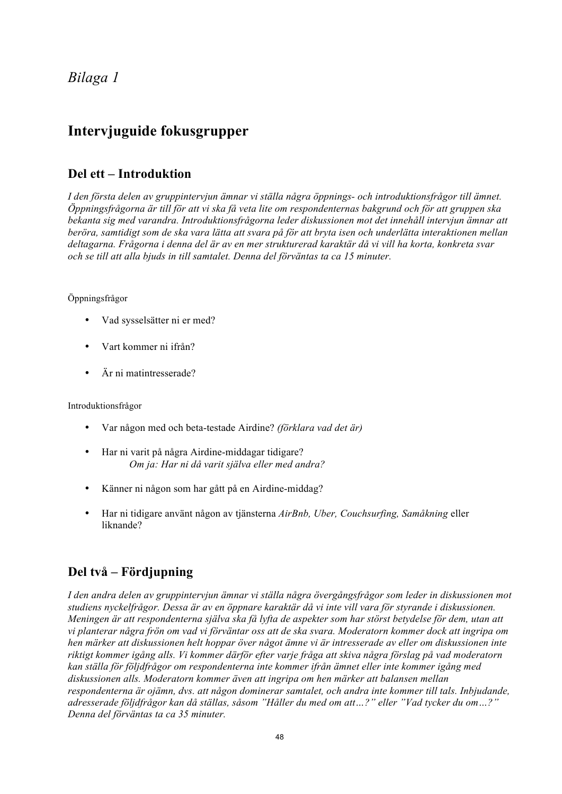### *Bilaga 1*

### **Intervjuguide fokusgrupper**

### **Del ett – Introduktion**

*I den första delen av gruppintervjun ämnar vi ställa några öppnings- och introduktionsfrågor till ämnet. Öppningsfrågorna är till för att vi ska få veta lite om respondenternas bakgrund och för att gruppen ska bekanta sig med varandra. Introduktionsfrågorna leder diskussionen mot det innehåll intervjun ämnar att beröra, samtidigt som de ska vara lätta att svara på för att bryta isen och underlätta interaktionen mellan deltagarna. Frågorna i denna del är av en mer strukturerad karaktär då vi vill ha korta, konkreta svar och se till att alla bjuds in till samtalet. Denna del förväntas ta ca 15 minuter.*

#### Öppningsfrågor

- Vad sysselsätter ni er med?
- Vart kommer ni ifrån?
- Är ni matintresserade?

Introduktionsfrågor

- Var någon med och beta-testade Airdine? *(förklara vad det är)*
- Har ni varit på några Airdine-middagar tidigare? *Om ja: Har ni då varit själva eller med andra?*
- Känner ni någon som har gått på en Airdine-middag?
- Har ni tidigare använt någon av tjänsterna *AirBnb, Uber, Couchsurfing, Samåkning* eller liknande?

### **Del två – Fördjupning**

*I den andra delen av gruppintervjun ämnar vi ställa några övergångsfrågor som leder in diskussionen mot studiens nyckelfrågor. Dessa är av en öppnare karaktär då vi inte vill vara för styrande i diskussionen. Meningen är att respondenterna själva ska få lyfta de aspekter som har störst betydelse för dem, utan att vi planterar några frön om vad vi förväntar oss att de ska svara. Moderatorn kommer dock att ingripa om hen märker att diskussionen helt hoppar över något ämne vi är intresserade av eller om diskussionen inte riktigt kommer igång alls. Vi kommer därför efter varje fråga att skiva några förslag på vad moderatorn kan ställa för följdfrågor om respondenterna inte kommer ifrån ämnet eller inte kommer igång med diskussionen alls. Moderatorn kommer även att ingripa om hen märker att balansen mellan respondenterna är ojämn, dvs. att någon dominerar samtalet, och andra inte kommer till tals. Inbjudande, adresserade följdfrågor kan då ställas, såsom "Håller du med om att…?" eller "Vad tycker du om…?" Denna del förväntas ta ca 35 minuter.*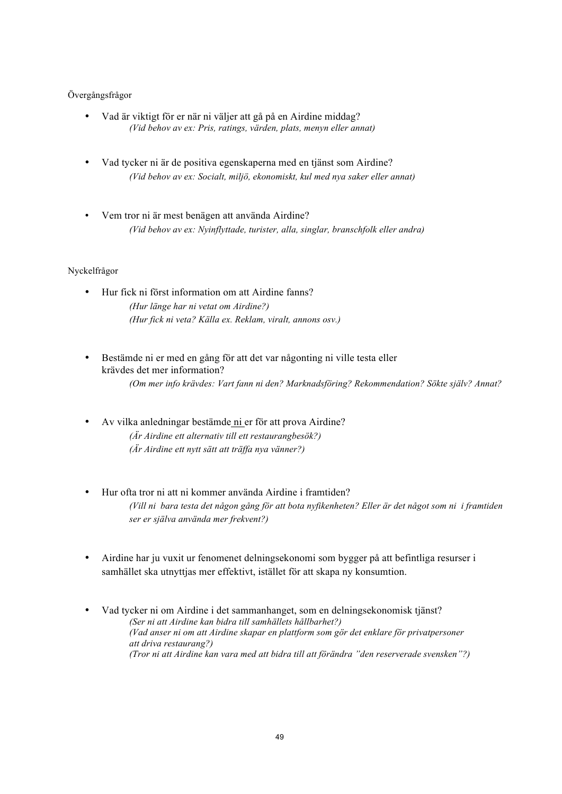#### Övergångsfrågor

- Vad är viktigt för er när ni väljer att gå på en Airdine middag? *(Vid behov av ex: Pris, ratings, värden, plats, menyn eller annat)*
- Vad tycker ni är de positiva egenskaperna med en tjänst som Airdine? *(Vid behov av ex: Socialt, miljö, ekonomiskt, kul med nya saker eller annat)*
- Vem tror ni är mest benägen att använda Airdine? *(Vid behov av ex: Nyinflyttade, turister, alla, singlar, branschfolk eller andra)*

#### Nyckelfrågor

- Hur fick ni först information om att Airdine fanns? *(Hur länge har ni vetat om Airdine?) (Hur fick ni veta? Källa ex. Reklam, viralt, annons osv.)*
- Bestämde ni er med en gång för att det var någonting ni ville testa eller krävdes det mer information? *(Om mer info krävdes: Vart fann ni den? Marknadsföring? Rekommendation? Sökte själv? Annat?*
- Av vilka anledningar bestämde ni er för att prova Airdine? *(Är Airdine ett alternativ till ett restaurangbesök?) (Är Airdine ett nytt sätt att träffa nya vänner?)*
- Hur ofta tror ni att ni kommer använda Airdine i framtiden? *(Vill ni bara testa det någon gång för att bota nyfikenheten? Eller är det något som ni i framtiden ser er själva använda mer frekvent?)*
- Airdine har ju vuxit ur fenomenet delningsekonomi som bygger på att befintliga resurser i samhället ska utnyttjas mer effektivt, istället för att skapa ny konsumtion.
- Vad tycker ni om Airdine i det sammanhanget, som en delningsekonomisk tjänst? *(Ser ni att Airdine kan bidra till samhällets hållbarhet?) (Vad anser ni om att Airdine skapar en plattform som gör det enklare för privatpersoner att driva restaurang?) (Tror ni att Airdine kan vara med att bidra till att förändra "den reserverade svensken"?)*